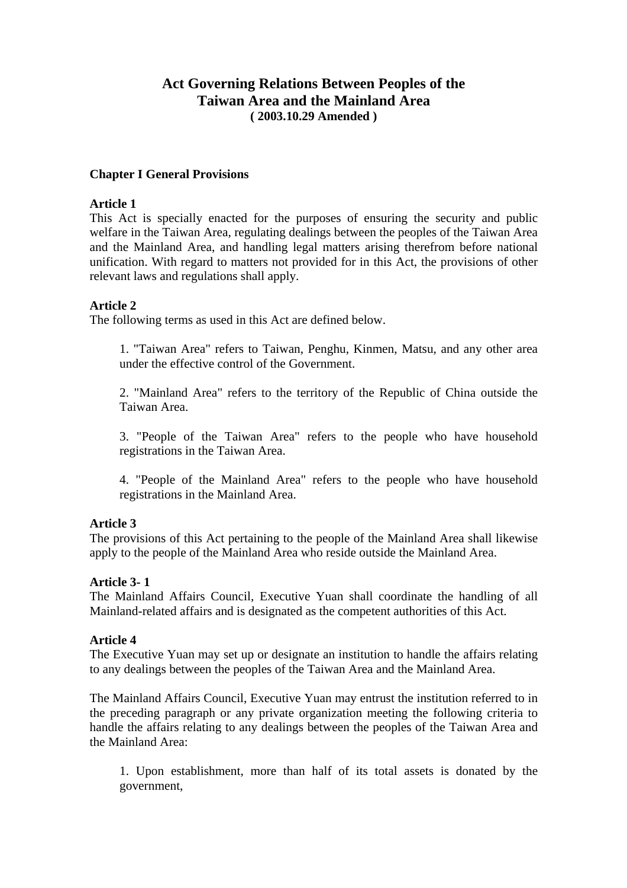# **Act Governing Relations Between Peoples of the Taiwan Area and the Mainland Area ( 2003.10.29 Amended )**

### **Chapter I General Provisions**

## **Article 1**

This Act is specially enacted for the purposes of ensuring the security and public welfare in the Taiwan Area, regulating dealings between the peoples of the Taiwan Area and the Mainland Area, and handling legal matters arising therefrom before national unification. With regard to matters not provided for in this Act, the provisions of other relevant laws and regulations shall apply.

### **Article 2**

The following terms as used in this Act are defined below.

1. "Taiwan Area" refers to Taiwan, Penghu, Kinmen, Matsu, and any other area under the effective control of the Government.

2. "Mainland Area" refers to the territory of the Republic of China outside the Taiwan Area.

3. "People of the Taiwan Area" refers to the people who have household registrations in the Taiwan Area.

4. "People of the Mainland Area" refers to the people who have household registrations in the Mainland Area.

#### **Article 3**

The provisions of this Act pertaining to the people of the Mainland Area shall likewise apply to the people of the Mainland Area who reside outside the Mainland Area.

## **Article 3- 1**

The Mainland Affairs Council, Executive Yuan shall coordinate the handling of all Mainland-related affairs and is designated as the competent authorities of this Act.

#### **Article 4**

The Executive Yuan may set up or designate an institution to handle the affairs relating to any dealings between the peoples of the Taiwan Area and the Mainland Area.

The Mainland Affairs Council, Executive Yuan may entrust the institution referred to in the preceding paragraph or any private organization meeting the following criteria to handle the affairs relating to any dealings between the peoples of the Taiwan Area and the Mainland Area:

1. Upon establishment, more than half of its total assets is donated by the government,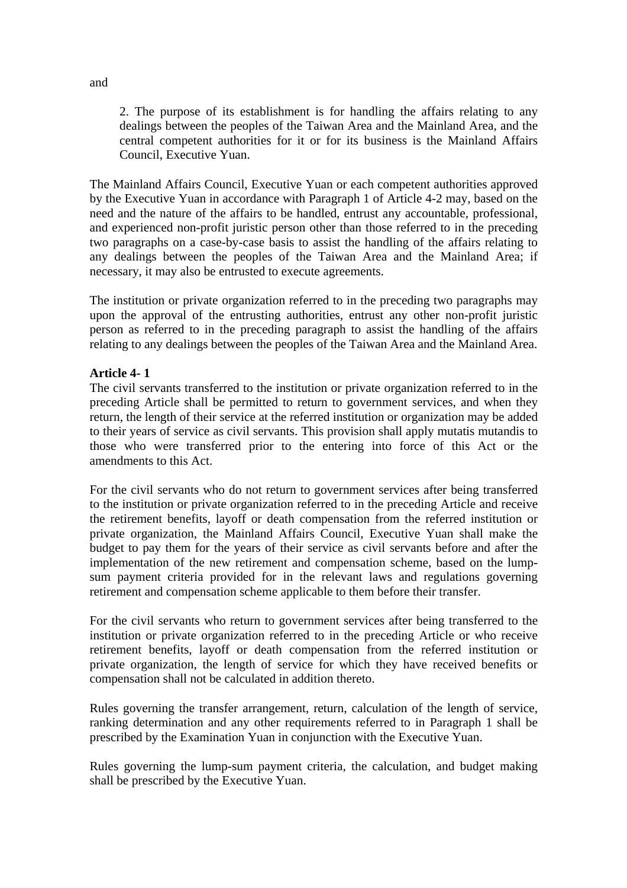2. The purpose of its establishment is for handling the affairs relating to any dealings between the peoples of the Taiwan Area and the Mainland Area, and the central competent authorities for it or for its business is the Mainland Affairs Council, Executive Yuan.

The Mainland Affairs Council, Executive Yuan or each competent authorities approved by the Executive Yuan in accordance with Paragraph 1 of Article 4-2 may, based on the need and the nature of the affairs to be handled, entrust any accountable, professional, and experienced non-profit juristic person other than those referred to in the preceding two paragraphs on a case-by-case basis to assist the handling of the affairs relating to any dealings between the peoples of the Taiwan Area and the Mainland Area; if necessary, it may also be entrusted to execute agreements.

The institution or private organization referred to in the preceding two paragraphs may upon the approval of the entrusting authorities, entrust any other non-profit juristic person as referred to in the preceding paragraph to assist the handling of the affairs relating to any dealings between the peoples of the Taiwan Area and the Mainland Area.

#### **Article 4- 1**

The civil servants transferred to the institution or private organization referred to in the preceding Article shall be permitted to return to government services, and when they return, the length of their service at the referred institution or organization may be added to their years of service as civil servants. This provision shall apply mutatis mutandis to those who were transferred prior to the entering into force of this Act or the amendments to this Act.

For the civil servants who do not return to government services after being transferred to the institution or private organization referred to in the preceding Article and receive the retirement benefits, layoff or death compensation from the referred institution or private organization, the Mainland Affairs Council, Executive Yuan shall make the budget to pay them for the years of their service as civil servants before and after the implementation of the new retirement and compensation scheme, based on the lumpsum payment criteria provided for in the relevant laws and regulations governing retirement and compensation scheme applicable to them before their transfer.

For the civil servants who return to government services after being transferred to the institution or private organization referred to in the preceding Article or who receive retirement benefits, layoff or death compensation from the referred institution or private organization, the length of service for which they have received benefits or compensation shall not be calculated in addition thereto.

Rules governing the transfer arrangement, return, calculation of the length of service, ranking determination and any other requirements referred to in Paragraph 1 shall be prescribed by the Examination Yuan in conjunction with the Executive Yuan.

Rules governing the lump-sum payment criteria, the calculation, and budget making shall be prescribed by the Executive Yuan.

and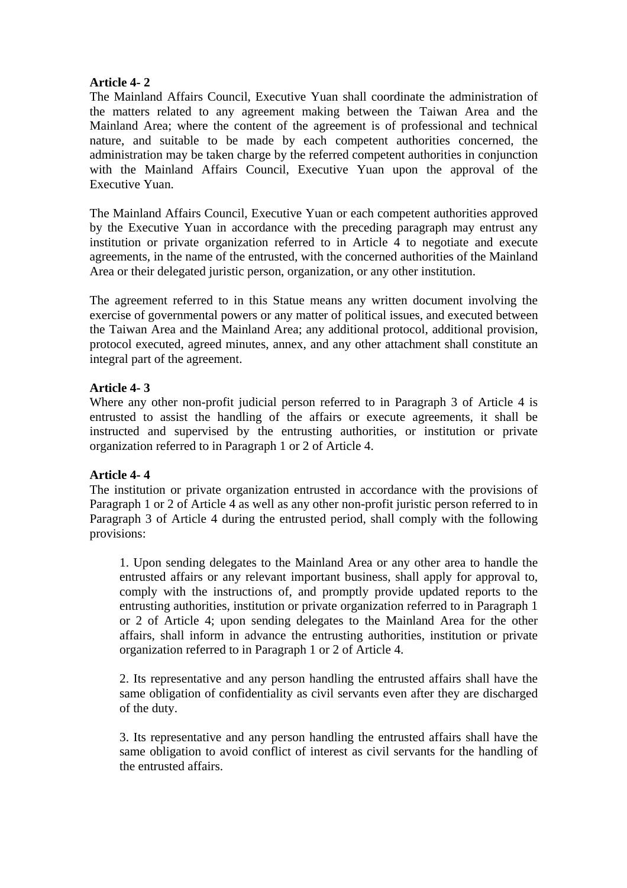### **Article 4- 2**

The Mainland Affairs Council, Executive Yuan shall coordinate the administration of the matters related to any agreement making between the Taiwan Area and the Mainland Area; where the content of the agreement is of professional and technical nature, and suitable to be made by each competent authorities concerned, the administration may be taken charge by the referred competent authorities in conjunction with the Mainland Affairs Council, Executive Yuan upon the approval of the Executive Yuan.

The Mainland Affairs Council, Executive Yuan or each competent authorities approved by the Executive Yuan in accordance with the preceding paragraph may entrust any institution or private organization referred to in Article 4 to negotiate and execute agreements, in the name of the entrusted, with the concerned authorities of the Mainland Area or their delegated juristic person, organization, or any other institution.

The agreement referred to in this Statue means any written document involving the exercise of governmental powers or any matter of political issues, and executed between the Taiwan Area and the Mainland Area; any additional protocol, additional provision, protocol executed, agreed minutes, annex, and any other attachment shall constitute an integral part of the agreement.

### **Article 4- 3**

Where any other non-profit judicial person referred to in Paragraph 3 of Article 4 is entrusted to assist the handling of the affairs or execute agreements, it shall be instructed and supervised by the entrusting authorities, or institution or private organization referred to in Paragraph 1 or 2 of Article 4.

#### **Article 4- 4**

The institution or private organization entrusted in accordance with the provisions of Paragraph 1 or 2 of Article 4 as well as any other non-profit juristic person referred to in Paragraph 3 of Article 4 during the entrusted period, shall comply with the following provisions:

1. Upon sending delegates to the Mainland Area or any other area to handle the entrusted affairs or any relevant important business, shall apply for approval to, comply with the instructions of, and promptly provide updated reports to the entrusting authorities, institution or private organization referred to in Paragraph 1 or 2 of Article 4; upon sending delegates to the Mainland Area for the other affairs, shall inform in advance the entrusting authorities, institution or private organization referred to in Paragraph 1 or 2 of Article 4.

2. Its representative and any person handling the entrusted affairs shall have the same obligation of confidentiality as civil servants even after they are discharged of the duty.

3. Its representative and any person handling the entrusted affairs shall have the same obligation to avoid conflict of interest as civil servants for the handling of the entrusted affairs.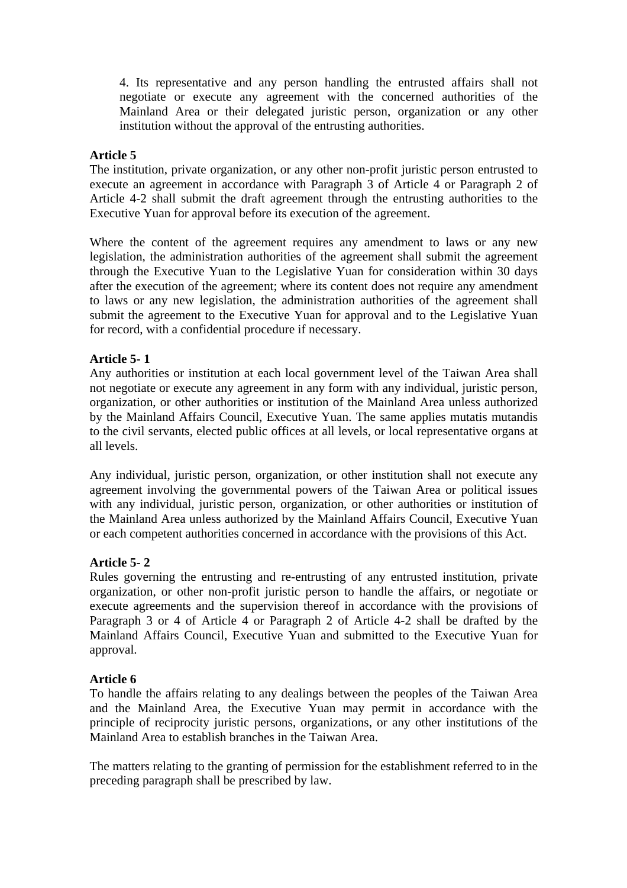4. Its representative and any person handling the entrusted affairs shall not negotiate or execute any agreement with the concerned authorities of the Mainland Area or their delegated juristic person, organization or any other institution without the approval of the entrusting authorities.

## **Article 5**

The institution, private organization, or any other non-profit juristic person entrusted to execute an agreement in accordance with Paragraph 3 of Article 4 or Paragraph 2 of Article 4-2 shall submit the draft agreement through the entrusting authorities to the Executive Yuan for approval before its execution of the agreement.

Where the content of the agreement requires any amendment to laws or any new legislation, the administration authorities of the agreement shall submit the agreement through the Executive Yuan to the Legislative Yuan for consideration within 30 days after the execution of the agreement; where its content does not require any amendment to laws or any new legislation, the administration authorities of the agreement shall submit the agreement to the Executive Yuan for approval and to the Legislative Yuan for record, with a confidential procedure if necessary.

### **Article 5- 1**

Any authorities or institution at each local government level of the Taiwan Area shall not negotiate or execute any agreement in any form with any individual, juristic person, organization, or other authorities or institution of the Mainland Area unless authorized by the Mainland Affairs Council, Executive Yuan. The same applies mutatis mutandis to the civil servants, elected public offices at all levels, or local representative organs at all levels.

Any individual, juristic person, organization, or other institution shall not execute any agreement involving the governmental powers of the Taiwan Area or political issues with any individual, juristic person, organization, or other authorities or institution of the Mainland Area unless authorized by the Mainland Affairs Council, Executive Yuan or each competent authorities concerned in accordance with the provisions of this Act.

#### **Article 5- 2**

Rules governing the entrusting and re-entrusting of any entrusted institution, private organization, or other non-profit juristic person to handle the affairs, or negotiate or execute agreements and the supervision thereof in accordance with the provisions of Paragraph 3 or 4 of Article 4 or Paragraph 2 of Article 4-2 shall be drafted by the Mainland Affairs Council, Executive Yuan and submitted to the Executive Yuan for approval.

#### **Article 6**

To handle the affairs relating to any dealings between the peoples of the Taiwan Area and the Mainland Area, the Executive Yuan may permit in accordance with the principle of reciprocity juristic persons, organizations, or any other institutions of the Mainland Area to establish branches in the Taiwan Area.

The matters relating to the granting of permission for the establishment referred to in the preceding paragraph shall be prescribed by law.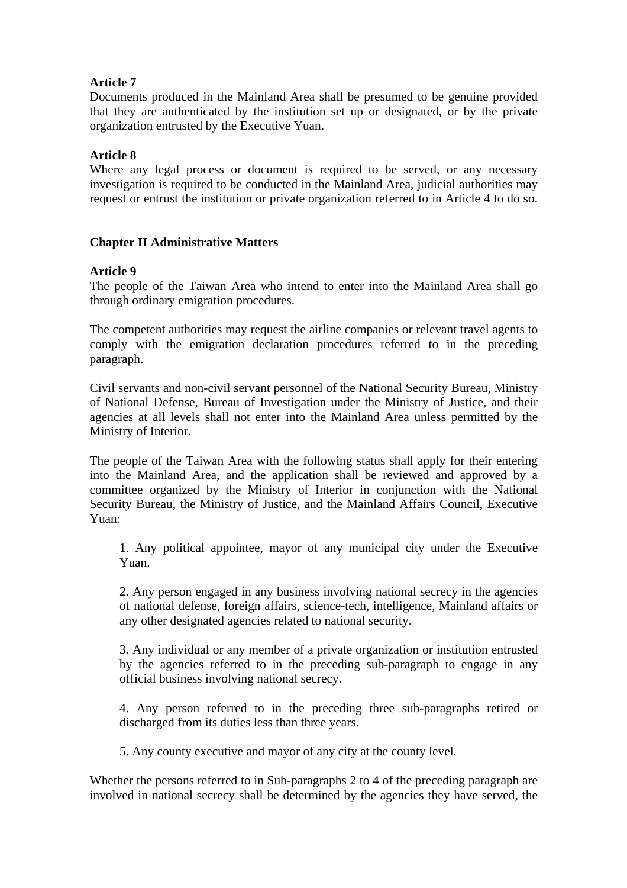## **Article 7**

Documents produced in the Mainland Area shall be presumed to be genuine provided that they are authenticated by the institution set up or designated, or by the private organization entrusted by the Executive Yuan.

### **Article 8**

Where any legal process or document is required to be served, or any necessary investigation is required to be conducted in the Mainland Area, judicial authorities may request or entrust the institution or private organization referred to in Article 4 to do so.

### **Chapter II Administrative Matters**

### **Article 9**

The people of the Taiwan Area who intend to enter into the Mainland Area shall go through ordinary emigration procedures.

The competent authorities may request the airline companies or relevant travel agents to comply with the emigration declaration procedures referred to in the preceding paragraph.

Civil servants and non-civil servant personnel of the National Security Bureau, Ministry of National Defense, Bureau of Investigation under the Ministry of Justice, and their agencies at all levels shall not enter into the Mainland Area unless permitted by the Ministry of Interior.

The people of the Taiwan Area with the following status shall apply for their entering into the Mainland Area, and the application shall be reviewed and approved by a committee organized by the Ministry of Interior in conjunction with the National Security Bureau, the Ministry of Justice, and the Mainland Affairs Council, Executive Yuan:

1. Any political appointee, mayor of any municipal city under the Executive Yuan.

2. Any person engaged in any business involving national secrecy in the agencies of national defense, foreign affairs, science-tech, intelligence, Mainland affairs or any other designated agencies related to national security.

3. Any individual or any member of a private organization or institution entrusted by the agencies referred to in the preceding sub-paragraph to engage in any official business involving national secrecy.

4. Any person referred to in the preceding three sub-paragraphs retired or discharged from its duties less than three years.

5. Any county executive and mayor of any city at the county level.

Whether the persons referred to in Sub-paragraphs 2 to 4 of the preceding paragraph are involved in national secrecy shall be determined by the agencies they have served, the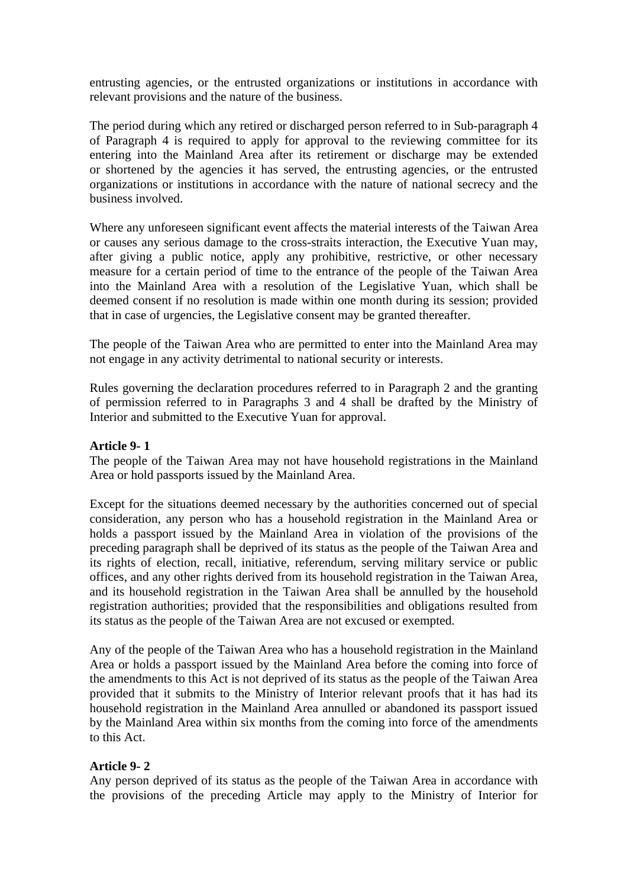entrusting agencies, or the entrusted organizations or institutions in accordance with relevant provisions and the nature of the business.

The period during which any retired or discharged person referred to in Sub-paragraph 4 of Paragraph 4 is required to apply for approval to the reviewing committee for its entering into the Mainland Area after its retirement or discharge may be extended or shortened by the agencies it has served, the entrusting agencies, or the entrusted organizations or institutions in accordance with the nature of national secrecy and the business involved.

Where any unforeseen significant event affects the material interests of the Taiwan Area or causes any serious damage to the cross-straits interaction, the Executive Yuan may, after giving a public notice, apply any prohibitive, restrictive, or other necessary measure for a certain period of time to the entrance of the people of the Taiwan Area into the Mainland Area with a resolution of the Legislative Yuan, which shall be deemed consent if no resolution is made within one month during its session; provided that in case of urgencies, the Legislative consent may be granted thereafter.

The people of the Taiwan Area who are permitted to enter into the Mainland Area may not engage in any activity detrimental to national security or interests.

Rules governing the declaration procedures referred to in Paragraph 2 and the granting of permission referred to in Paragraphs 3 and 4 shall be drafted by the Ministry of Interior and submitted to the Executive Yuan for approval.

#### **Article 9- 1**

The people of the Taiwan Area may not have household registrations in the Mainland Area or hold passports issued by the Mainland Area.

Except for the situations deemed necessary by the authorities concerned out of special consideration, any person who has a household registration in the Mainland Area or holds a passport issued by the Mainland Area in violation of the provisions of the preceding paragraph shall be deprived of its status as the people of the Taiwan Area and its rights of election, recall, initiative, referendum, serving military service or public offices, and any other rights derived from its household registration in the Taiwan Area, and its household registration in the Taiwan Area shall be annulled by the household registration authorities; provided that the responsibilities and obligations resulted from its status as the people of the Taiwan Area are not excused or exempted.

Any of the people of the Taiwan Area who has a household registration in the Mainland Area or holds a passport issued by the Mainland Area before the coming into force of the amendments to this Act is not deprived of its status as the people of the Taiwan Area provided that it submits to the Ministry of Interior relevant proofs that it has had its household registration in the Mainland Area annulled or abandoned its passport issued by the Mainland Area within six months from the coming into force of the amendments to this Act.

#### **Article 9- 2**

Any person deprived of its status as the people of the Taiwan Area in accordance with the provisions of the preceding Article may apply to the Ministry of Interior for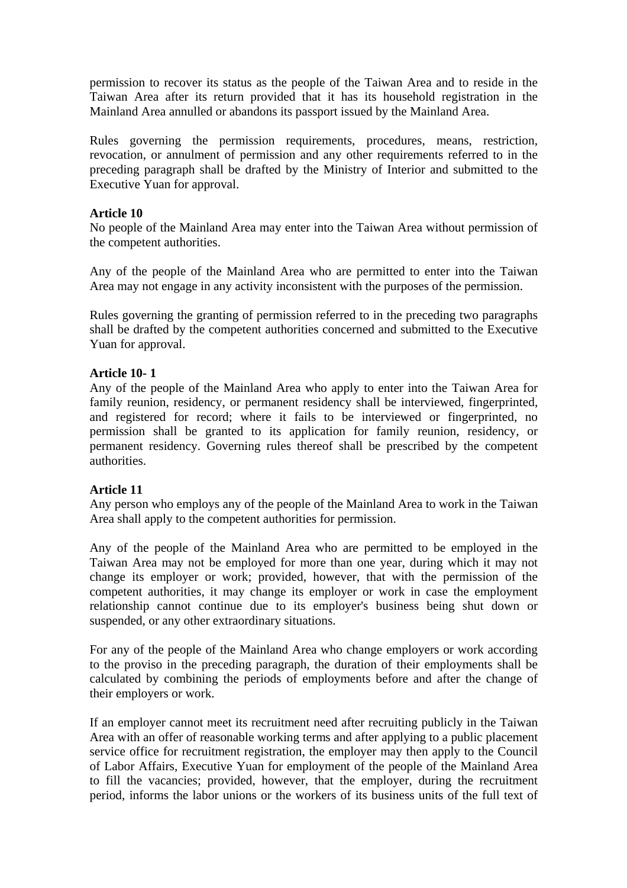permission to recover its status as the people of the Taiwan Area and to reside in the Taiwan Area after its return provided that it has its household registration in the Mainland Area annulled or abandons its passport issued by the Mainland Area.

Rules governing the permission requirements, procedures, means, restriction, revocation, or annulment of permission and any other requirements referred to in the preceding paragraph shall be drafted by the Ministry of Interior and submitted to the Executive Yuan for approval.

### **Article 10**

No people of the Mainland Area may enter into the Taiwan Area without permission of the competent authorities.

Any of the people of the Mainland Area who are permitted to enter into the Taiwan Area may not engage in any activity inconsistent with the purposes of the permission.

Rules governing the granting of permission referred to in the preceding two paragraphs shall be drafted by the competent authorities concerned and submitted to the Executive Yuan for approval.

### **Article 10- 1**

Any of the people of the Mainland Area who apply to enter into the Taiwan Area for family reunion, residency, or permanent residency shall be interviewed, fingerprinted, and registered for record; where it fails to be interviewed or fingerprinted, no permission shall be granted to its application for family reunion, residency, or permanent residency. Governing rules thereof shall be prescribed by the competent authorities.

#### **Article 11**

Any person who employs any of the people of the Mainland Area to work in the Taiwan Area shall apply to the competent authorities for permission.

Any of the people of the Mainland Area who are permitted to be employed in the Taiwan Area may not be employed for more than one year, during which it may not change its employer or work; provided, however, that with the permission of the competent authorities, it may change its employer or work in case the employment relationship cannot continue due to its employer's business being shut down or suspended, or any other extraordinary situations.

For any of the people of the Mainland Area who change employers or work according to the proviso in the preceding paragraph, the duration of their employments shall be calculated by combining the periods of employments before and after the change of their employers or work.

If an employer cannot meet its recruitment need after recruiting publicly in the Taiwan Area with an offer of reasonable working terms and after applying to a public placement service office for recruitment registration, the employer may then apply to the Council of Labor Affairs, Executive Yuan for employment of the people of the Mainland Area to fill the vacancies; provided, however, that the employer, during the recruitment period, informs the labor unions or the workers of its business units of the full text of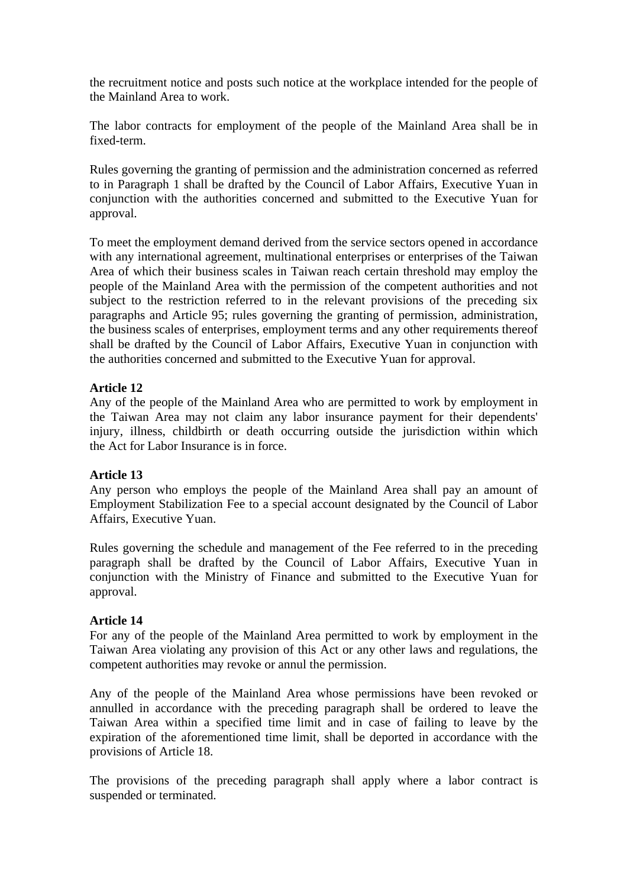the recruitment notice and posts such notice at the workplace intended for the people of the Mainland Area to work.

The labor contracts for employment of the people of the Mainland Area shall be in fixed-term.

Rules governing the granting of permission and the administration concerned as referred to in Paragraph 1 shall be drafted by the Council of Labor Affairs, Executive Yuan in conjunction with the authorities concerned and submitted to the Executive Yuan for approval.

To meet the employment demand derived from the service sectors opened in accordance with any international agreement, multinational enterprises or enterprises of the Taiwan Area of which their business scales in Taiwan reach certain threshold may employ the people of the Mainland Area with the permission of the competent authorities and not subject to the restriction referred to in the relevant provisions of the preceding six paragraphs and Article 95; rules governing the granting of permission, administration, the business scales of enterprises, employment terms and any other requirements thereof shall be drafted by the Council of Labor Affairs, Executive Yuan in conjunction with the authorities concerned and submitted to the Executive Yuan for approval.

### **Article 12**

Any of the people of the Mainland Area who are permitted to work by employment in the Taiwan Area may not claim any labor insurance payment for their dependents' injury, illness, childbirth or death occurring outside the jurisdiction within which the Act for Labor Insurance is in force.

#### **Article 13**

Any person who employs the people of the Mainland Area shall pay an amount of Employment Stabilization Fee to a special account designated by the Council of Labor Affairs, Executive Yuan.

Rules governing the schedule and management of the Fee referred to in the preceding paragraph shall be drafted by the Council of Labor Affairs, Executive Yuan in conjunction with the Ministry of Finance and submitted to the Executive Yuan for approval.

#### **Article 14**

For any of the people of the Mainland Area permitted to work by employment in the Taiwan Area violating any provision of this Act or any other laws and regulations, the competent authorities may revoke or annul the permission.

Any of the people of the Mainland Area whose permissions have been revoked or annulled in accordance with the preceding paragraph shall be ordered to leave the Taiwan Area within a specified time limit and in case of failing to leave by the expiration of the aforementioned time limit, shall be deported in accordance with the provisions of Article 18.

The provisions of the preceding paragraph shall apply where a labor contract is suspended or terminated.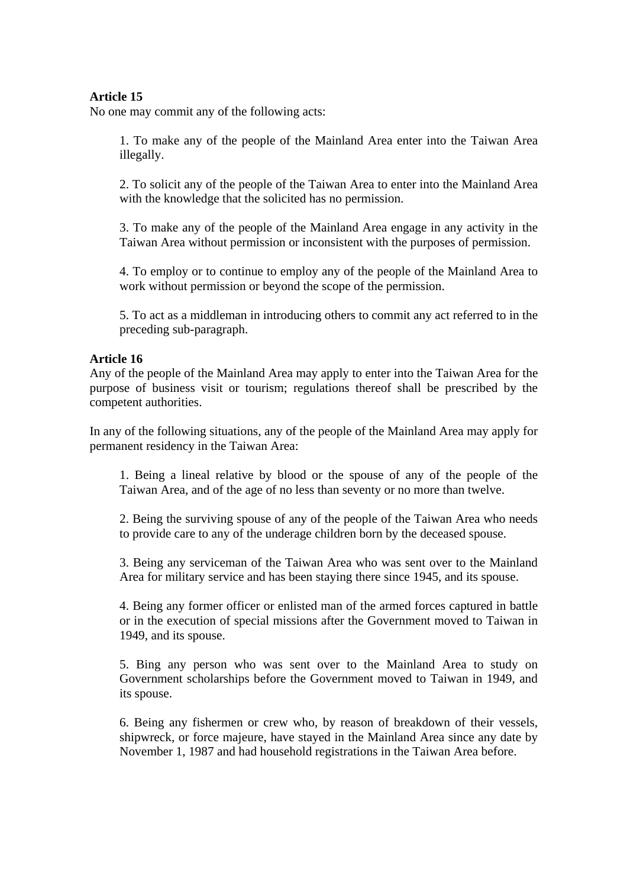### **Article 15**

No one may commit any of the following acts:

1. To make any of the people of the Mainland Area enter into the Taiwan Area illegally.

2. To solicit any of the people of the Taiwan Area to enter into the Mainland Area with the knowledge that the solicited has no permission.

3. To make any of the people of the Mainland Area engage in any activity in the Taiwan Area without permission or inconsistent with the purposes of permission.

4. To employ or to continue to employ any of the people of the Mainland Area to work without permission or beyond the scope of the permission.

5. To act as a middleman in introducing others to commit any act referred to in the preceding sub-paragraph.

#### **Article 16**

Any of the people of the Mainland Area may apply to enter into the Taiwan Area for the purpose of business visit or tourism; regulations thereof shall be prescribed by the competent authorities.

In any of the following situations, any of the people of the Mainland Area may apply for permanent residency in the Taiwan Area:

1. Being a lineal relative by blood or the spouse of any of the people of the Taiwan Area, and of the age of no less than seventy or no more than twelve.

2. Being the surviving spouse of any of the people of the Taiwan Area who needs to provide care to any of the underage children born by the deceased spouse.

3. Being any serviceman of the Taiwan Area who was sent over to the Mainland Area for military service and has been staying there since 1945, and its spouse.

4. Being any former officer or enlisted man of the armed forces captured in battle or in the execution of special missions after the Government moved to Taiwan in 1949, and its spouse.

5. Bing any person who was sent over to the Mainland Area to study on Government scholarships before the Government moved to Taiwan in 1949, and its spouse.

6. Being any fishermen or crew who, by reason of breakdown of their vessels, shipwreck, or force majeure, have stayed in the Mainland Area since any date by November 1, 1987 and had household registrations in the Taiwan Area before.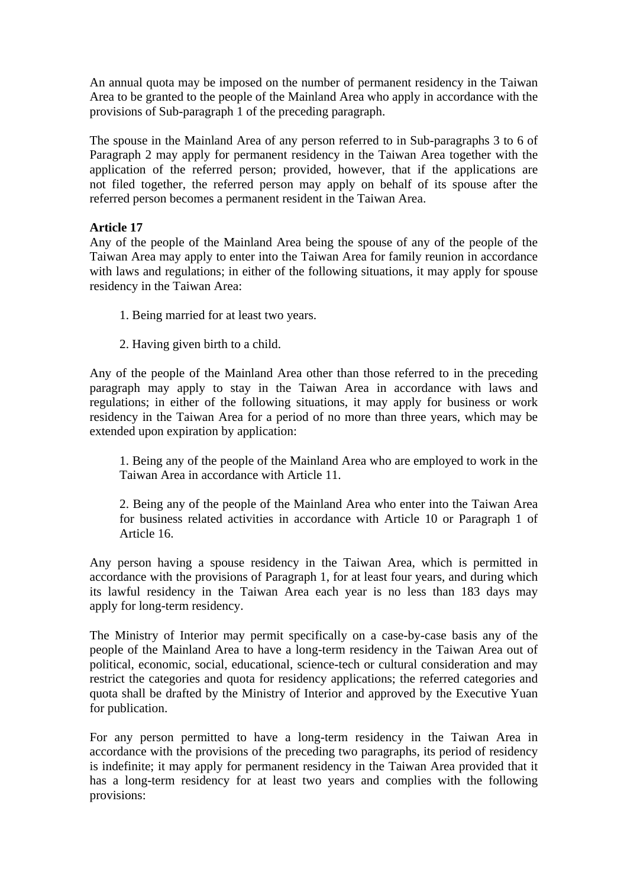An annual quota may be imposed on the number of permanent residency in the Taiwan Area to be granted to the people of the Mainland Area who apply in accordance with the provisions of Sub-paragraph 1 of the preceding paragraph.

The spouse in the Mainland Area of any person referred to in Sub-paragraphs 3 to 6 of Paragraph 2 may apply for permanent residency in the Taiwan Area together with the application of the referred person; provided, however, that if the applications are not filed together, the referred person may apply on behalf of its spouse after the referred person becomes a permanent resident in the Taiwan Area.

### **Article 17**

Any of the people of the Mainland Area being the spouse of any of the people of the Taiwan Area may apply to enter into the Taiwan Area for family reunion in accordance with laws and regulations; in either of the following situations, it may apply for spouse residency in the Taiwan Area:

- 1. Being married for at least two years.
- 2. Having given birth to a child.

Any of the people of the Mainland Area other than those referred to in the preceding paragraph may apply to stay in the Taiwan Area in accordance with laws and regulations; in either of the following situations, it may apply for business or work residency in the Taiwan Area for a period of no more than three years, which may be extended upon expiration by application:

1. Being any of the people of the Mainland Area who are employed to work in the Taiwan Area in accordance with Article 11.

2. Being any of the people of the Mainland Area who enter into the Taiwan Area for business related activities in accordance with Article 10 or Paragraph 1 of Article 16.

Any person having a spouse residency in the Taiwan Area, which is permitted in accordance with the provisions of Paragraph 1, for at least four years, and during which its lawful residency in the Taiwan Area each year is no less than 183 days may apply for long-term residency.

The Ministry of Interior may permit specifically on a case-by-case basis any of the people of the Mainland Area to have a long-term residency in the Taiwan Area out of political, economic, social, educational, science-tech or cultural consideration and may restrict the categories and quota for residency applications; the referred categories and quota shall be drafted by the Ministry of Interior and approved by the Executive Yuan for publication.

For any person permitted to have a long-term residency in the Taiwan Area in accordance with the provisions of the preceding two paragraphs, its period of residency is indefinite; it may apply for permanent residency in the Taiwan Area provided that it has a long-term residency for at least two years and complies with the following provisions: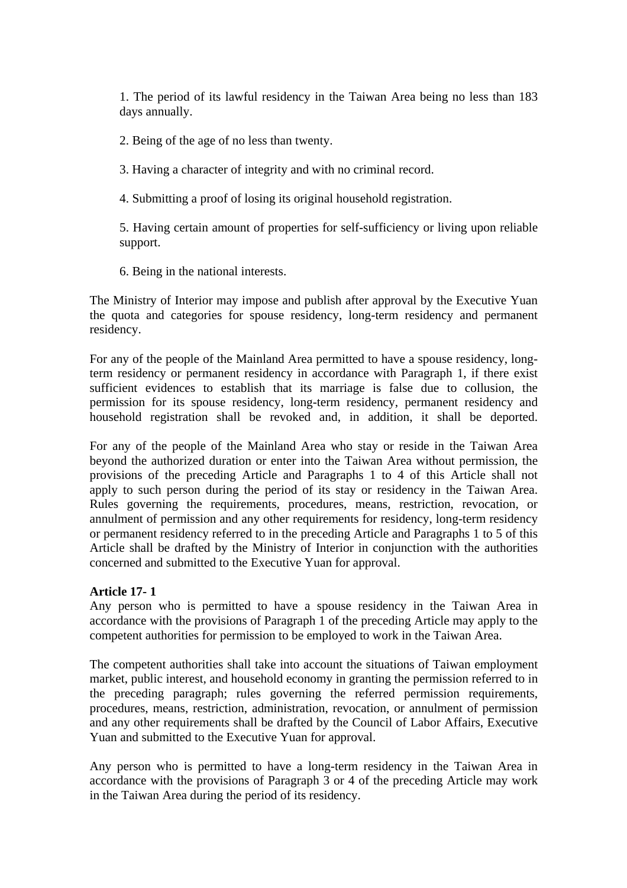1. The period of its lawful residency in the Taiwan Area being no less than 183 days annually.

2. Being of the age of no less than twenty.

3. Having a character of integrity and with no criminal record.

4. Submitting a proof of losing its original household registration.

5. Having certain amount of properties for self-sufficiency or living upon reliable support.

6. Being in the national interests.

The Ministry of Interior may impose and publish after approval by the Executive Yuan the quota and categories for spouse residency, long-term residency and permanent residency.

For any of the people of the Mainland Area permitted to have a spouse residency, longterm residency or permanent residency in accordance with Paragraph 1, if there exist sufficient evidences to establish that its marriage is false due to collusion, the permission for its spouse residency, long-term residency, permanent residency and household registration shall be revoked and, in addition, it shall be deported.

For any of the people of the Mainland Area who stay or reside in the Taiwan Area beyond the authorized duration or enter into the Taiwan Area without permission, the provisions of the preceding Article and Paragraphs 1 to 4 of this Article shall not apply to such person during the period of its stay or residency in the Taiwan Area. Rules governing the requirements, procedures, means, restriction, revocation, or annulment of permission and any other requirements for residency, long-term residency or permanent residency referred to in the preceding Article and Paragraphs 1 to 5 of this Article shall be drafted by the Ministry of Interior in conjunction with the authorities concerned and submitted to the Executive Yuan for approval.

#### **Article 17- 1**

Any person who is permitted to have a spouse residency in the Taiwan Area in accordance with the provisions of Paragraph 1 of the preceding Article may apply to the competent authorities for permission to be employed to work in the Taiwan Area.

The competent authorities shall take into account the situations of Taiwan employment market, public interest, and household economy in granting the permission referred to in the preceding paragraph; rules governing the referred permission requirements, procedures, means, restriction, administration, revocation, or annulment of permission and any other requirements shall be drafted by the Council of Labor Affairs, Executive Yuan and submitted to the Executive Yuan for approval.

Any person who is permitted to have a long-term residency in the Taiwan Area in accordance with the provisions of Paragraph 3 or 4 of the preceding Article may work in the Taiwan Area during the period of its residency.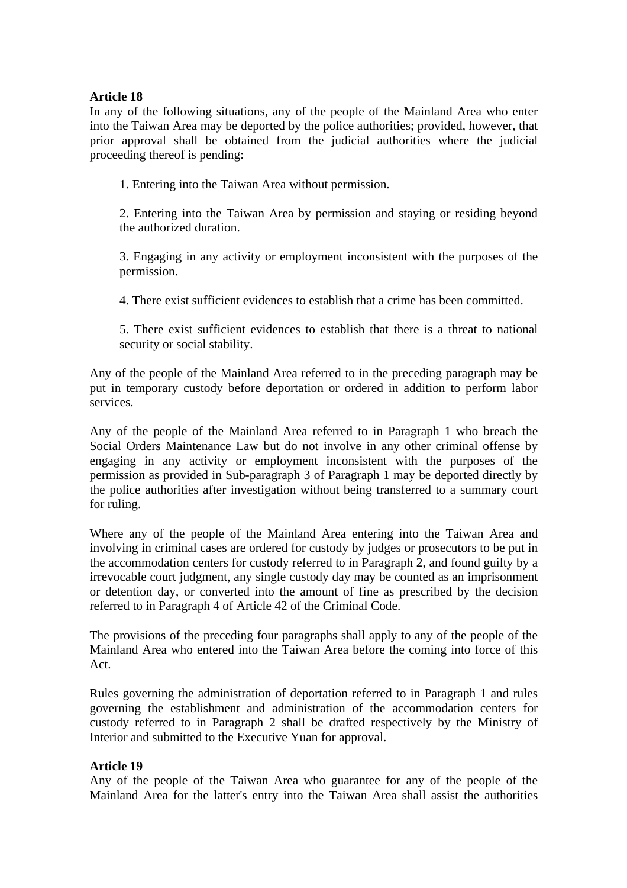#### **Article 18**

In any of the following situations, any of the people of the Mainland Area who enter into the Taiwan Area may be deported by the police authorities; provided, however, that prior approval shall be obtained from the judicial authorities where the judicial proceeding thereof is pending:

1. Entering into the Taiwan Area without permission.

2. Entering into the Taiwan Area by permission and staying or residing beyond the authorized duration.

3. Engaging in any activity or employment inconsistent with the purposes of the permission.

4. There exist sufficient evidences to establish that a crime has been committed.

5. There exist sufficient evidences to establish that there is a threat to national security or social stability.

Any of the people of the Mainland Area referred to in the preceding paragraph may be put in temporary custody before deportation or ordered in addition to perform labor services.

Any of the people of the Mainland Area referred to in Paragraph 1 who breach the Social Orders Maintenance Law but do not involve in any other criminal offense by engaging in any activity or employment inconsistent with the purposes of the permission as provided in Sub-paragraph 3 of Paragraph 1 may be deported directly by the police authorities after investigation without being transferred to a summary court for ruling.

Where any of the people of the Mainland Area entering into the Taiwan Area and involving in criminal cases are ordered for custody by judges or prosecutors to be put in the accommodation centers for custody referred to in Paragraph 2, and found guilty by a irrevocable court judgment, any single custody day may be counted as an imprisonment or detention day, or converted into the amount of fine as prescribed by the decision referred to in Paragraph 4 of Article 42 of the Criminal Code.

The provisions of the preceding four paragraphs shall apply to any of the people of the Mainland Area who entered into the Taiwan Area before the coming into force of this Act.

Rules governing the administration of deportation referred to in Paragraph 1 and rules governing the establishment and administration of the accommodation centers for custody referred to in Paragraph 2 shall be drafted respectively by the Ministry of Interior and submitted to the Executive Yuan for approval.

#### **Article 19**

Any of the people of the Taiwan Area who guarantee for any of the people of the Mainland Area for the latter's entry into the Taiwan Area shall assist the authorities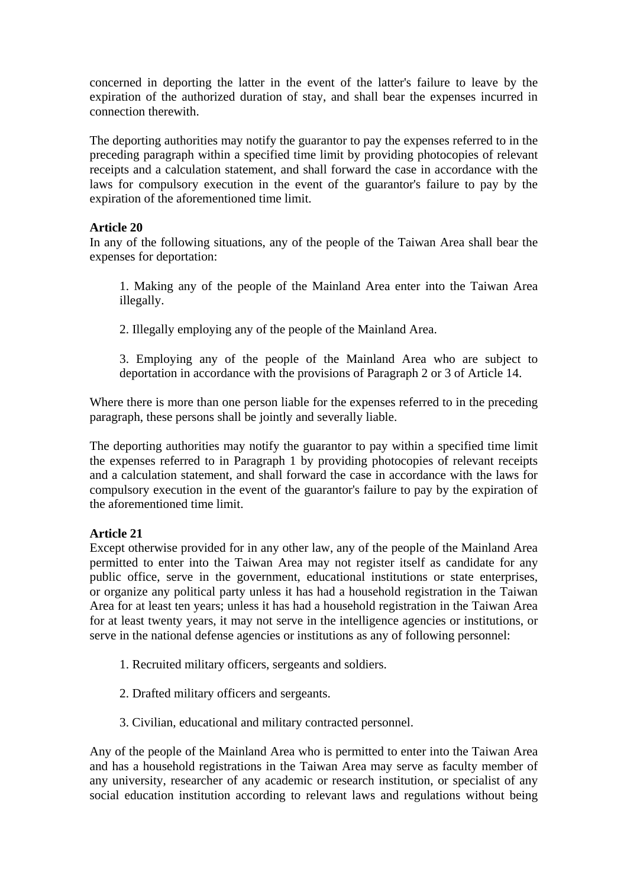concerned in deporting the latter in the event of the latter's failure to leave by the expiration of the authorized duration of stay, and shall bear the expenses incurred in connection therewith.

The deporting authorities may notify the guarantor to pay the expenses referred to in the preceding paragraph within a specified time limit by providing photocopies of relevant receipts and a calculation statement, and shall forward the case in accordance with the laws for compulsory execution in the event of the guarantor's failure to pay by the expiration of the aforementioned time limit.

### **Article 20**

In any of the following situations, any of the people of the Taiwan Area shall bear the expenses for deportation:

1. Making any of the people of the Mainland Area enter into the Taiwan Area illegally.

2. Illegally employing any of the people of the Mainland Area.

3. Employing any of the people of the Mainland Area who are subject to deportation in accordance with the provisions of Paragraph 2 or 3 of Article 14.

Where there is more than one person liable for the expenses referred to in the preceding paragraph, these persons shall be jointly and severally liable.

The deporting authorities may notify the guarantor to pay within a specified time limit the expenses referred to in Paragraph 1 by providing photocopies of relevant receipts and a calculation statement, and shall forward the case in accordance with the laws for compulsory execution in the event of the guarantor's failure to pay by the expiration of the aforementioned time limit.

## **Article 21**

Except otherwise provided for in any other law, any of the people of the Mainland Area permitted to enter into the Taiwan Area may not register itself as candidate for any public office, serve in the government, educational institutions or state enterprises, or organize any political party unless it has had a household registration in the Taiwan Area for at least ten years; unless it has had a household registration in the Taiwan Area for at least twenty years, it may not serve in the intelligence agencies or institutions, or serve in the national defense agencies or institutions as any of following personnel:

- 1. Recruited military officers, sergeants and soldiers.
- 2. Drafted military officers and sergeants.
- 3. Civilian, educational and military contracted personnel.

Any of the people of the Mainland Area who is permitted to enter into the Taiwan Area and has a household registrations in the Taiwan Area may serve as faculty member of any university, researcher of any academic or research institution, or specialist of any social education institution according to relevant laws and regulations without being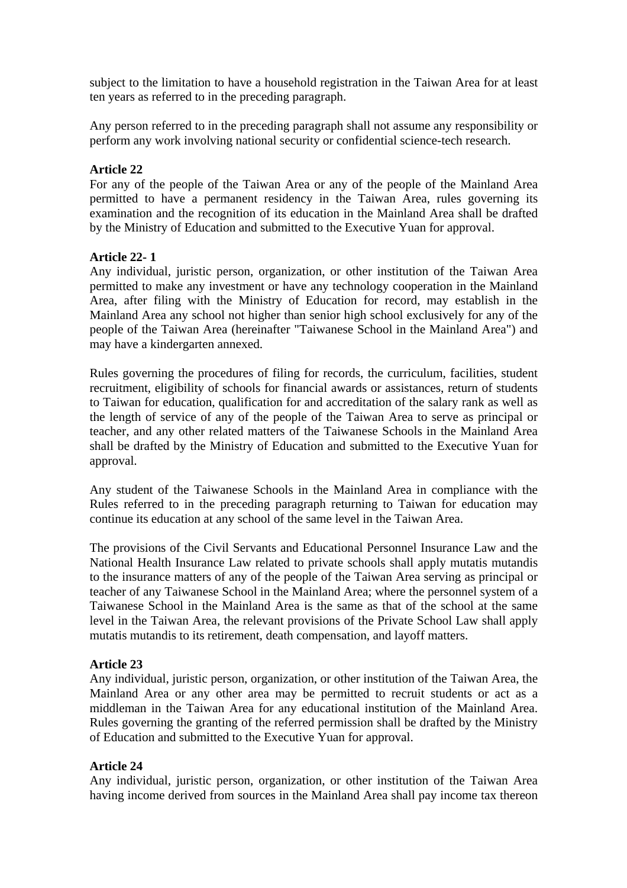subject to the limitation to have a household registration in the Taiwan Area for at least ten years as referred to in the preceding paragraph.

Any person referred to in the preceding paragraph shall not assume any responsibility or perform any work involving national security or confidential science-tech research.

### **Article 22**

For any of the people of the Taiwan Area or any of the people of the Mainland Area permitted to have a permanent residency in the Taiwan Area, rules governing its examination and the recognition of its education in the Mainland Area shall be drafted by the Ministry of Education and submitted to the Executive Yuan for approval.

### **Article 22- 1**

Any individual, juristic person, organization, or other institution of the Taiwan Area permitted to make any investment or have any technology cooperation in the Mainland Area, after filing with the Ministry of Education for record, may establish in the Mainland Area any school not higher than senior high school exclusively for any of the people of the Taiwan Area (hereinafter "Taiwanese School in the Mainland Area") and may have a kindergarten annexed.

Rules governing the procedures of filing for records, the curriculum, facilities, student recruitment, eligibility of schools for financial awards or assistances, return of students to Taiwan for education, qualification for and accreditation of the salary rank as well as the length of service of any of the people of the Taiwan Area to serve as principal or teacher, and any other related matters of the Taiwanese Schools in the Mainland Area shall be drafted by the Ministry of Education and submitted to the Executive Yuan for approval.

Any student of the Taiwanese Schools in the Mainland Area in compliance with the Rules referred to in the preceding paragraph returning to Taiwan for education may continue its education at any school of the same level in the Taiwan Area.

The provisions of the Civil Servants and Educational Personnel Insurance Law and the National Health Insurance Law related to private schools shall apply mutatis mutandis to the insurance matters of any of the people of the Taiwan Area serving as principal or teacher of any Taiwanese School in the Mainland Area; where the personnel system of a Taiwanese School in the Mainland Area is the same as that of the school at the same level in the Taiwan Area, the relevant provisions of the Private School Law shall apply mutatis mutandis to its retirement, death compensation, and layoff matters.

#### **Article 23**

Any individual, juristic person, organization, or other institution of the Taiwan Area, the Mainland Area or any other area may be permitted to recruit students or act as a middleman in the Taiwan Area for any educational institution of the Mainland Area. Rules governing the granting of the referred permission shall be drafted by the Ministry of Education and submitted to the Executive Yuan for approval.

#### **Article 24**

Any individual, juristic person, organization, or other institution of the Taiwan Area having income derived from sources in the Mainland Area shall pay income tax thereon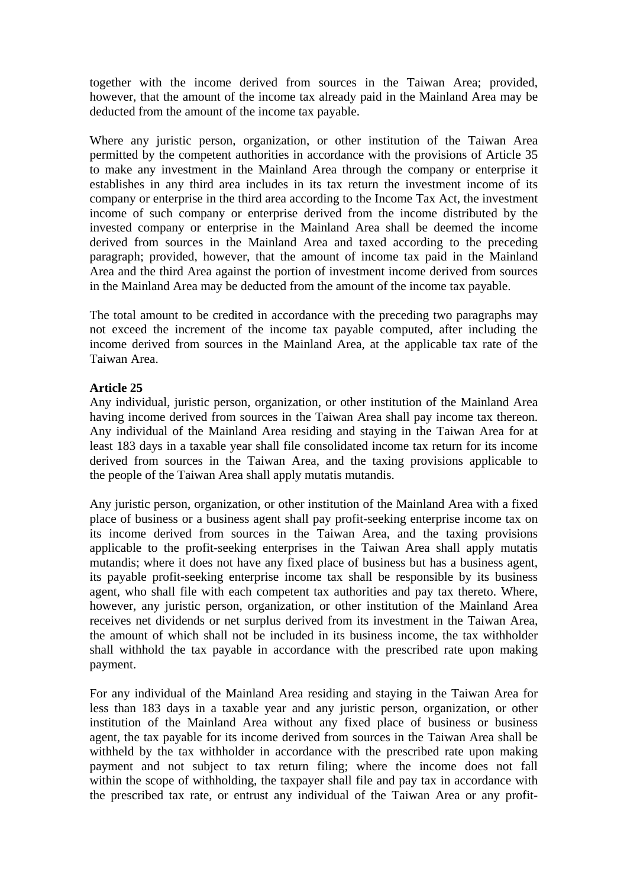together with the income derived from sources in the Taiwan Area; provided, however, that the amount of the income tax already paid in the Mainland Area may be deducted from the amount of the income tax payable.

Where any juristic person, organization, or other institution of the Taiwan Area permitted by the competent authorities in accordance with the provisions of Article 35 to make any investment in the Mainland Area through the company or enterprise it establishes in any third area includes in its tax return the investment income of its company or enterprise in the third area according to the Income Tax Act, the investment income of such company or enterprise derived from the income distributed by the invested company or enterprise in the Mainland Area shall be deemed the income derived from sources in the Mainland Area and taxed according to the preceding paragraph; provided, however, that the amount of income tax paid in the Mainland Area and the third Area against the portion of investment income derived from sources in the Mainland Area may be deducted from the amount of the income tax payable.

The total amount to be credited in accordance with the preceding two paragraphs may not exceed the increment of the income tax payable computed, after including the income derived from sources in the Mainland Area, at the applicable tax rate of the Taiwan Area.

### **Article 25**

Any individual, juristic person, organization, or other institution of the Mainland Area having income derived from sources in the Taiwan Area shall pay income tax thereon. Any individual of the Mainland Area residing and staying in the Taiwan Area for at least 183 days in a taxable year shall file consolidated income tax return for its income derived from sources in the Taiwan Area, and the taxing provisions applicable to the people of the Taiwan Area shall apply mutatis mutandis.

Any juristic person, organization, or other institution of the Mainland Area with a fixed place of business or a business agent shall pay profit-seeking enterprise income tax on its income derived from sources in the Taiwan Area, and the taxing provisions applicable to the profit-seeking enterprises in the Taiwan Area shall apply mutatis mutandis; where it does not have any fixed place of business but has a business agent, its payable profit-seeking enterprise income tax shall be responsible by its business agent, who shall file with each competent tax authorities and pay tax thereto. Where, however, any juristic person, organization, or other institution of the Mainland Area receives net dividends or net surplus derived from its investment in the Taiwan Area, the amount of which shall not be included in its business income, the tax withholder shall withhold the tax payable in accordance with the prescribed rate upon making payment.

For any individual of the Mainland Area residing and staying in the Taiwan Area for less than 183 days in a taxable year and any juristic person, organization, or other institution of the Mainland Area without any fixed place of business or business agent, the tax payable for its income derived from sources in the Taiwan Area shall be withheld by the tax withholder in accordance with the prescribed rate upon making payment and not subject to tax return filing; where the income does not fall within the scope of withholding, the taxpayer shall file and pay tax in accordance with the prescribed tax rate, or entrust any individual of the Taiwan Area or any profit-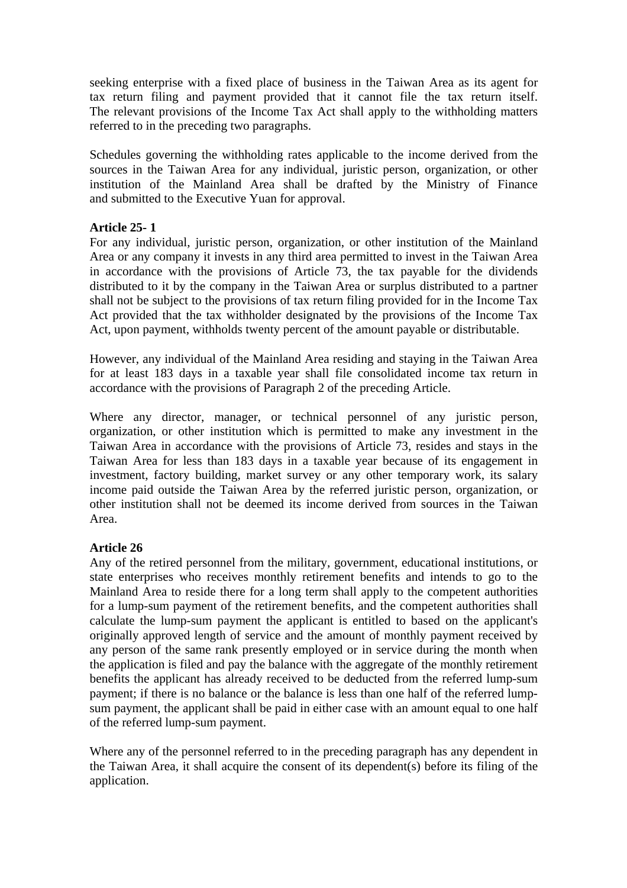seeking enterprise with a fixed place of business in the Taiwan Area as its agent for tax return filing and payment provided that it cannot file the tax return itself. The relevant provisions of the Income Tax Act shall apply to the withholding matters referred to in the preceding two paragraphs.

Schedules governing the withholding rates applicable to the income derived from the sources in the Taiwan Area for any individual, juristic person, organization, or other institution of the Mainland Area shall be drafted by the Ministry of Finance and submitted to the Executive Yuan for approval.

### **Article 25- 1**

For any individual, juristic person, organization, or other institution of the Mainland Area or any company it invests in any third area permitted to invest in the Taiwan Area in accordance with the provisions of Article 73, the tax payable for the dividends distributed to it by the company in the Taiwan Area or surplus distributed to a partner shall not be subject to the provisions of tax return filing provided for in the Income Tax Act provided that the tax withholder designated by the provisions of the Income Tax Act, upon payment, withholds twenty percent of the amount payable or distributable.

However, any individual of the Mainland Area residing and staying in the Taiwan Area for at least 183 days in a taxable year shall file consolidated income tax return in accordance with the provisions of Paragraph 2 of the preceding Article.

Where any director, manager, or technical personnel of any juristic person, organization, or other institution which is permitted to make any investment in the Taiwan Area in accordance with the provisions of Article 73, resides and stays in the Taiwan Area for less than 183 days in a taxable year because of its engagement in investment, factory building, market survey or any other temporary work, its salary income paid outside the Taiwan Area by the referred juristic person, organization, or other institution shall not be deemed its income derived from sources in the Taiwan Area.

## **Article 26**

Any of the retired personnel from the military, government, educational institutions, or state enterprises who receives monthly retirement benefits and intends to go to the Mainland Area to reside there for a long term shall apply to the competent authorities for a lump-sum payment of the retirement benefits, and the competent authorities shall calculate the lump-sum payment the applicant is entitled to based on the applicant's originally approved length of service and the amount of monthly payment received by any person of the same rank presently employed or in service during the month when the application is filed and pay the balance with the aggregate of the monthly retirement benefits the applicant has already received to be deducted from the referred lump-sum payment; if there is no balance or the balance is less than one half of the referred lumpsum payment, the applicant shall be paid in either case with an amount equal to one half of the referred lump-sum payment.

Where any of the personnel referred to in the preceding paragraph has any dependent in the Taiwan Area, it shall acquire the consent of its dependent(s) before its filing of the application.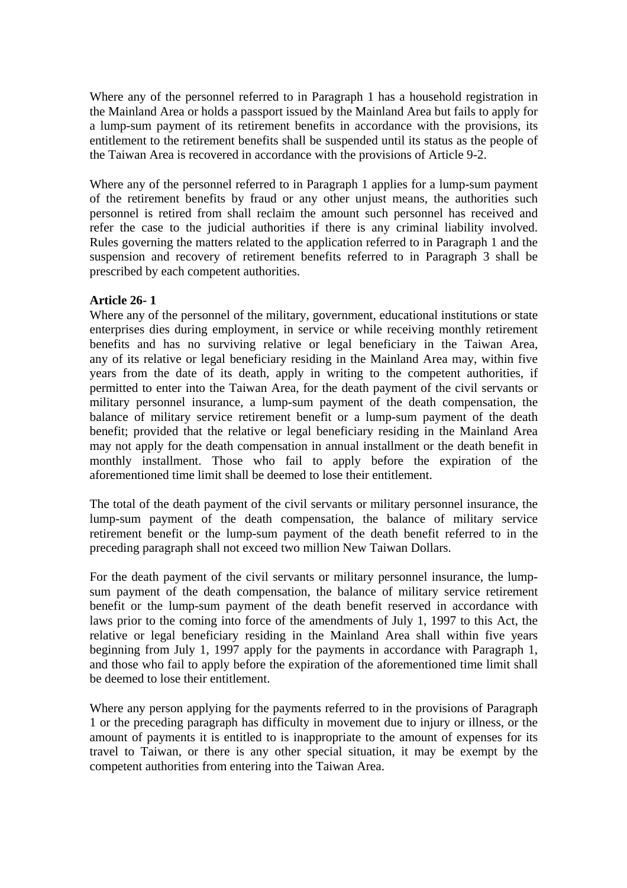Where any of the personnel referred to in Paragraph 1 has a household registration in the Mainland Area or holds a passport issued by the Mainland Area but fails to apply for a lump-sum payment of its retirement benefits in accordance with the provisions, its entitlement to the retirement benefits shall be suspended until its status as the people of the Taiwan Area is recovered in accordance with the provisions of Article 9-2.

Where any of the personnel referred to in Paragraph 1 applies for a lump-sum payment of the retirement benefits by fraud or any other unjust means, the authorities such personnel is retired from shall reclaim the amount such personnel has received and refer the case to the judicial authorities if there is any criminal liability involved. Rules governing the matters related to the application referred to in Paragraph 1 and the suspension and recovery of retirement benefits referred to in Paragraph 3 shall be prescribed by each competent authorities.

### **Article 26- 1**

Where any of the personnel of the military, government, educational institutions or state enterprises dies during employment, in service or while receiving monthly retirement benefits and has no surviving relative or legal beneficiary in the Taiwan Area, any of its relative or legal beneficiary residing in the Mainland Area may, within five years from the date of its death, apply in writing to the competent authorities, if permitted to enter into the Taiwan Area, for the death payment of the civil servants or military personnel insurance, a lump-sum payment of the death compensation, the balance of military service retirement benefit or a lump-sum payment of the death benefit; provided that the relative or legal beneficiary residing in the Mainland Area may not apply for the death compensation in annual installment or the death benefit in monthly installment. Those who fail to apply before the expiration of the aforementioned time limit shall be deemed to lose their entitlement.

The total of the death payment of the civil servants or military personnel insurance, the lump-sum payment of the death compensation, the balance of military service retirement benefit or the lump-sum payment of the death benefit referred to in the preceding paragraph shall not exceed two million New Taiwan Dollars.

For the death payment of the civil servants or military personnel insurance, the lumpsum payment of the death compensation, the balance of military service retirement benefit or the lump-sum payment of the death benefit reserved in accordance with laws prior to the coming into force of the amendments of July 1, 1997 to this Act, the relative or legal beneficiary residing in the Mainland Area shall within five years beginning from July 1, 1997 apply for the payments in accordance with Paragraph 1, and those who fail to apply before the expiration of the aforementioned time limit shall be deemed to lose their entitlement.

Where any person applying for the payments referred to in the provisions of Paragraph 1 or the preceding paragraph has difficulty in movement due to injury or illness, or the amount of payments it is entitled to is inappropriate to the amount of expenses for its travel to Taiwan, or there is any other special situation, it may be exempt by the competent authorities from entering into the Taiwan Area.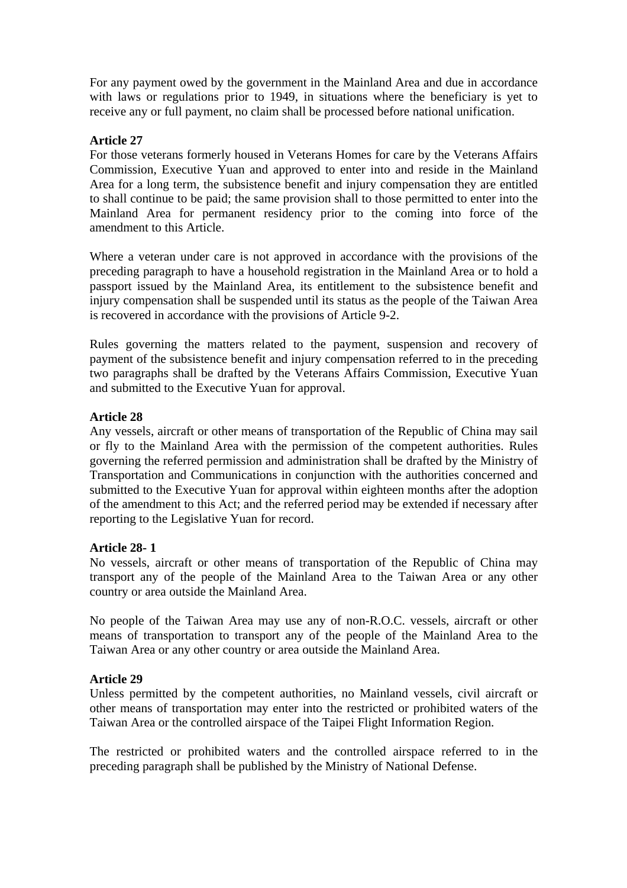For any payment owed by the government in the Mainland Area and due in accordance with laws or regulations prior to 1949, in situations where the beneficiary is yet to receive any or full payment, no claim shall be processed before national unification.

## **Article 27**

For those veterans formerly housed in Veterans Homes for care by the Veterans Affairs Commission, Executive Yuan and approved to enter into and reside in the Mainland Area for a long term, the subsistence benefit and injury compensation they are entitled to shall continue to be paid; the same provision shall to those permitted to enter into the Mainland Area for permanent residency prior to the coming into force of the amendment to this Article.

Where a veteran under care is not approved in accordance with the provisions of the preceding paragraph to have a household registration in the Mainland Area or to hold a passport issued by the Mainland Area, its entitlement to the subsistence benefit and injury compensation shall be suspended until its status as the people of the Taiwan Area is recovered in accordance with the provisions of Article 9-2.

Rules governing the matters related to the payment, suspension and recovery of payment of the subsistence benefit and injury compensation referred to in the preceding two paragraphs shall be drafted by the Veterans Affairs Commission, Executive Yuan and submitted to the Executive Yuan for approval.

### **Article 28**

Any vessels, aircraft or other means of transportation of the Republic of China may sail or fly to the Mainland Area with the permission of the competent authorities. Rules governing the referred permission and administration shall be drafted by the Ministry of Transportation and Communications in conjunction with the authorities concerned and submitted to the Executive Yuan for approval within eighteen months after the adoption of the amendment to this Act; and the referred period may be extended if necessary after reporting to the Legislative Yuan for record.

#### **Article 28- 1**

No vessels, aircraft or other means of transportation of the Republic of China may transport any of the people of the Mainland Area to the Taiwan Area or any other country or area outside the Mainland Area.

No people of the Taiwan Area may use any of non-R.O.C. vessels, aircraft or other means of transportation to transport any of the people of the Mainland Area to the Taiwan Area or any other country or area outside the Mainland Area.

#### **Article 29**

Unless permitted by the competent authorities, no Mainland vessels, civil aircraft or other means of transportation may enter into the restricted or prohibited waters of the Taiwan Area or the controlled airspace of the Taipei Flight Information Region.

The restricted or prohibited waters and the controlled airspace referred to in the preceding paragraph shall be published by the Ministry of National Defense.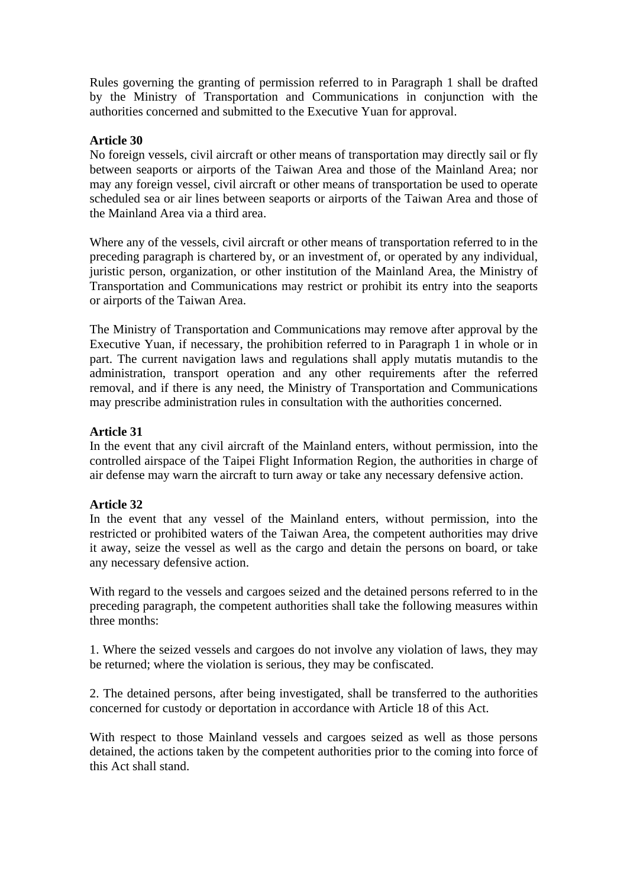Rules governing the granting of permission referred to in Paragraph 1 shall be drafted by the Ministry of Transportation and Communications in conjunction with the authorities concerned and submitted to the Executive Yuan for approval.

### **Article 30**

No foreign vessels, civil aircraft or other means of transportation may directly sail or fly between seaports or airports of the Taiwan Area and those of the Mainland Area; nor may any foreign vessel, civil aircraft or other means of transportation be used to operate scheduled sea or air lines between seaports or airports of the Taiwan Area and those of the Mainland Area via a third area.

Where any of the vessels, civil aircraft or other means of transportation referred to in the preceding paragraph is chartered by, or an investment of, or operated by any individual, juristic person, organization, or other institution of the Mainland Area, the Ministry of Transportation and Communications may restrict or prohibit its entry into the seaports or airports of the Taiwan Area.

The Ministry of Transportation and Communications may remove after approval by the Executive Yuan, if necessary, the prohibition referred to in Paragraph 1 in whole or in part. The current navigation laws and regulations shall apply mutatis mutandis to the administration, transport operation and any other requirements after the referred removal, and if there is any need, the Ministry of Transportation and Communications may prescribe administration rules in consultation with the authorities concerned.

### **Article 31**

In the event that any civil aircraft of the Mainland enters, without permission, into the controlled airspace of the Taipei Flight Information Region, the authorities in charge of air defense may warn the aircraft to turn away or take any necessary defensive action.

#### **Article 32**

In the event that any vessel of the Mainland enters, without permission, into the restricted or prohibited waters of the Taiwan Area, the competent authorities may drive it away, seize the vessel as well as the cargo and detain the persons on board, or take any necessary defensive action.

With regard to the vessels and cargoes seized and the detained persons referred to in the preceding paragraph, the competent authorities shall take the following measures within three months:

1. Where the seized vessels and cargoes do not involve any violation of laws, they may be returned; where the violation is serious, they may be confiscated.

2. The detained persons, after being investigated, shall be transferred to the authorities concerned for custody or deportation in accordance with Article 18 of this Act.

With respect to those Mainland vessels and cargoes seized as well as those persons detained, the actions taken by the competent authorities prior to the coming into force of this Act shall stand.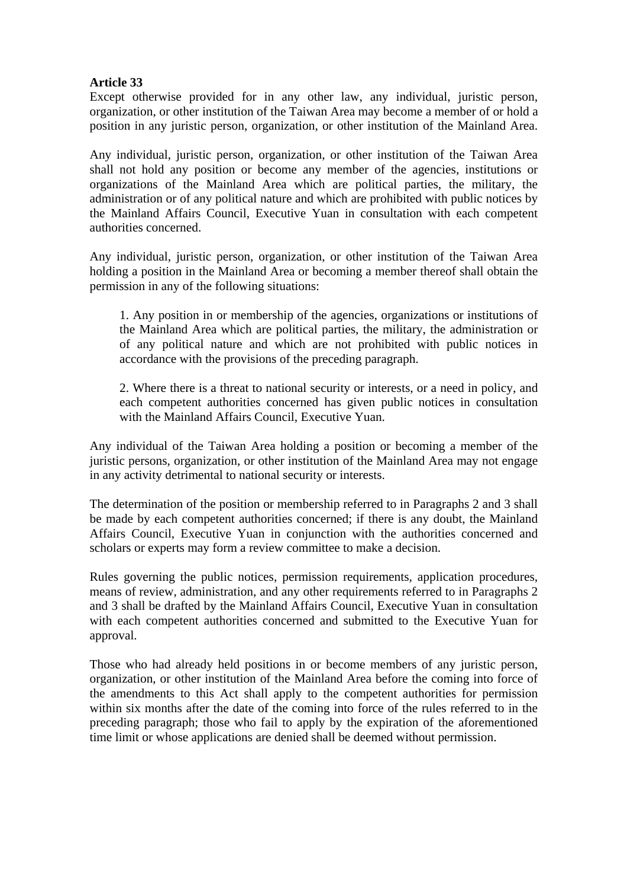## **Article 33**

Except otherwise provided for in any other law, any individual, juristic person, organization, or other institution of the Taiwan Area may become a member of or hold a position in any juristic person, organization, or other institution of the Mainland Area.

Any individual, juristic person, organization, or other institution of the Taiwan Area shall not hold any position or become any member of the agencies, institutions or organizations of the Mainland Area which are political parties, the military, the administration or of any political nature and which are prohibited with public notices by the Mainland Affairs Council, Executive Yuan in consultation with each competent authorities concerned.

Any individual, juristic person, organization, or other institution of the Taiwan Area holding a position in the Mainland Area or becoming a member thereof shall obtain the permission in any of the following situations:

1. Any position in or membership of the agencies, organizations or institutions of the Mainland Area which are political parties, the military, the administration or of any political nature and which are not prohibited with public notices in accordance with the provisions of the preceding paragraph.

2. Where there is a threat to national security or interests, or a need in policy, and each competent authorities concerned has given public notices in consultation with the Mainland Affairs Council, Executive Yuan.

Any individual of the Taiwan Area holding a position or becoming a member of the juristic persons, organization, or other institution of the Mainland Area may not engage in any activity detrimental to national security or interests.

The determination of the position or membership referred to in Paragraphs 2 and 3 shall be made by each competent authorities concerned; if there is any doubt, the Mainland Affairs Council, Executive Yuan in conjunction with the authorities concerned and scholars or experts may form a review committee to make a decision.

Rules governing the public notices, permission requirements, application procedures, means of review, administration, and any other requirements referred to in Paragraphs 2 and 3 shall be drafted by the Mainland Affairs Council, Executive Yuan in consultation with each competent authorities concerned and submitted to the Executive Yuan for approval.

Those who had already held positions in or become members of any juristic person, organization, or other institution of the Mainland Area before the coming into force of the amendments to this Act shall apply to the competent authorities for permission within six months after the date of the coming into force of the rules referred to in the preceding paragraph; those who fail to apply by the expiration of the aforementioned time limit or whose applications are denied shall be deemed without permission.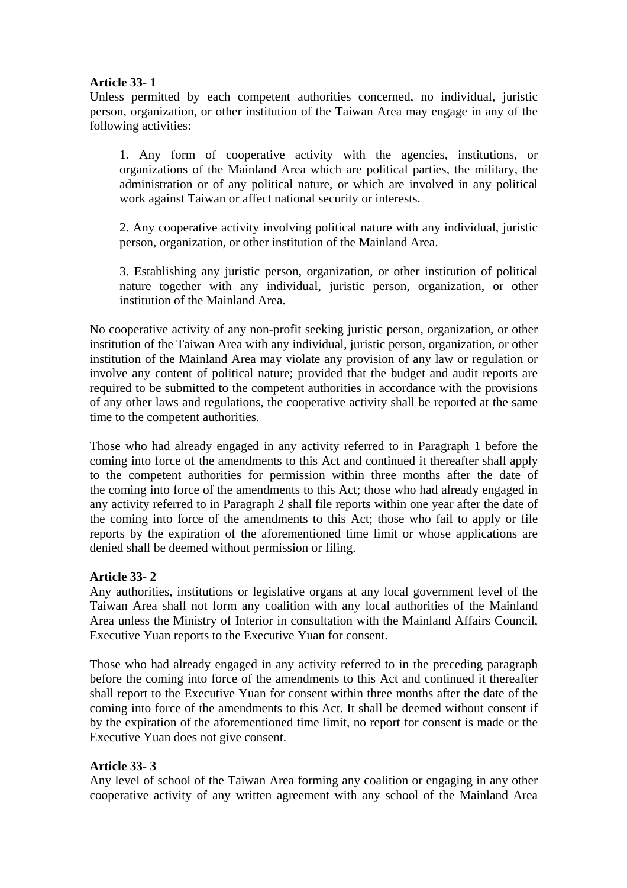### **Article 33- 1**

Unless permitted by each competent authorities concerned, no individual, juristic person, organization, or other institution of the Taiwan Area may engage in any of the following activities:

1. Any form of cooperative activity with the agencies, institutions, or organizations of the Mainland Area which are political parties, the military, the administration or of any political nature, or which are involved in any political work against Taiwan or affect national security or interests.

2. Any cooperative activity involving political nature with any individual, juristic person, organization, or other institution of the Mainland Area.

3. Establishing any juristic person, organization, or other institution of political nature together with any individual, juristic person, organization, or other institution of the Mainland Area.

No cooperative activity of any non-profit seeking juristic person, organization, or other institution of the Taiwan Area with any individual, juristic person, organization, or other institution of the Mainland Area may violate any provision of any law or regulation or involve any content of political nature; provided that the budget and audit reports are required to be submitted to the competent authorities in accordance with the provisions of any other laws and regulations, the cooperative activity shall be reported at the same time to the competent authorities.

Those who had already engaged in any activity referred to in Paragraph 1 before the coming into force of the amendments to this Act and continued it thereafter shall apply to the competent authorities for permission within three months after the date of the coming into force of the amendments to this Act; those who had already engaged in any activity referred to in Paragraph 2 shall file reports within one year after the date of the coming into force of the amendments to this Act; those who fail to apply or file reports by the expiration of the aforementioned time limit or whose applications are denied shall be deemed without permission or filing.

#### **Article 33- 2**

Any authorities, institutions or legislative organs at any local government level of the Taiwan Area shall not form any coalition with any local authorities of the Mainland Area unless the Ministry of Interior in consultation with the Mainland Affairs Council, Executive Yuan reports to the Executive Yuan for consent.

Those who had already engaged in any activity referred to in the preceding paragraph before the coming into force of the amendments to this Act and continued it thereafter shall report to the Executive Yuan for consent within three months after the date of the coming into force of the amendments to this Act. It shall be deemed without consent if by the expiration of the aforementioned time limit, no report for consent is made or the Executive Yuan does not give consent.

#### **Article 33- 3**

Any level of school of the Taiwan Area forming any coalition or engaging in any other cooperative activity of any written agreement with any school of the Mainland Area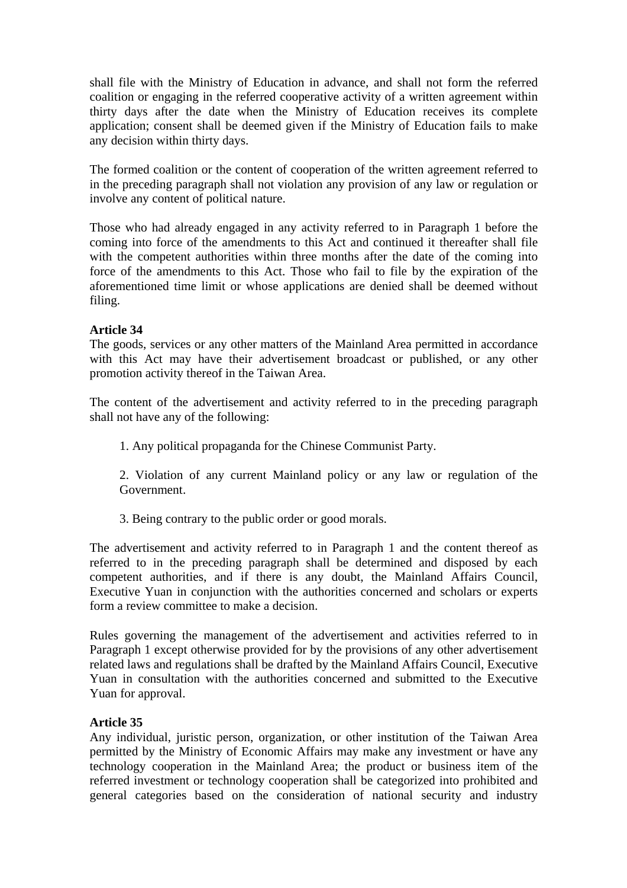shall file with the Ministry of Education in advance, and shall not form the referred coalition or engaging in the referred cooperative activity of a written agreement within thirty days after the date when the Ministry of Education receives its complete application; consent shall be deemed given if the Ministry of Education fails to make any decision within thirty days.

The formed coalition or the content of cooperation of the written agreement referred to in the preceding paragraph shall not violation any provision of any law or regulation or involve any content of political nature.

Those who had already engaged in any activity referred to in Paragraph 1 before the coming into force of the amendments to this Act and continued it thereafter shall file with the competent authorities within three months after the date of the coming into force of the amendments to this Act. Those who fail to file by the expiration of the aforementioned time limit or whose applications are denied shall be deemed without filing.

## **Article 34**

The goods, services or any other matters of the Mainland Area permitted in accordance with this Act may have their advertisement broadcast or published, or any other promotion activity thereof in the Taiwan Area.

The content of the advertisement and activity referred to in the preceding paragraph shall not have any of the following:

1. Any political propaganda for the Chinese Communist Party.

2. Violation of any current Mainland policy or any law or regulation of the Government.

3. Being contrary to the public order or good morals.

The advertisement and activity referred to in Paragraph 1 and the content thereof as referred to in the preceding paragraph shall be determined and disposed by each competent authorities, and if there is any doubt, the Mainland Affairs Council, Executive Yuan in conjunction with the authorities concerned and scholars or experts form a review committee to make a decision.

Rules governing the management of the advertisement and activities referred to in Paragraph 1 except otherwise provided for by the provisions of any other advertisement related laws and regulations shall be drafted by the Mainland Affairs Council, Executive Yuan in consultation with the authorities concerned and submitted to the Executive Yuan for approval.

## **Article 35**

Any individual, juristic person, organization, or other institution of the Taiwan Area permitted by the Ministry of Economic Affairs may make any investment or have any technology cooperation in the Mainland Area; the product or business item of the referred investment or technology cooperation shall be categorized into prohibited and general categories based on the consideration of national security and industry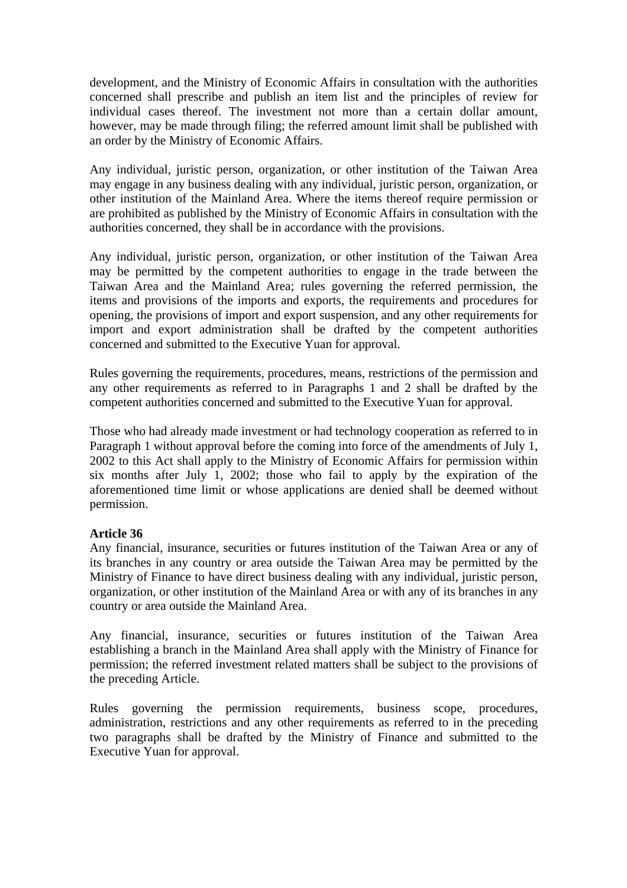development, and the Ministry of Economic Affairs in consultation with the authorities concerned shall prescribe and publish an item list and the principles of review for individual cases thereof. The investment not more than a certain dollar amount, however, may be made through filing; the referred amount limit shall be published with an order by the Ministry of Economic Affairs.

Any individual, juristic person, organization, or other institution of the Taiwan Area may engage in any business dealing with any individual, juristic person, organization, or other institution of the Mainland Area. Where the items thereof require permission or are prohibited as published by the Ministry of Economic Affairs in consultation with the authorities concerned, they shall be in accordance with the provisions.

Any individual, juristic person, organization, or other institution of the Taiwan Area may be permitted by the competent authorities to engage in the trade between the Taiwan Area and the Mainland Area; rules governing the referred permission, the items and provisions of the imports and exports, the requirements and procedures for opening, the provisions of import and export suspension, and any other requirements for import and export administration shall be drafted by the competent authorities concerned and submitted to the Executive Yuan for approval.

Rules governing the requirements, procedures, means, restrictions of the permission and any other requirements as referred to in Paragraphs 1 and 2 shall be drafted by the competent authorities concerned and submitted to the Executive Yuan for approval.

Those who had already made investment or had technology cooperation as referred to in Paragraph 1 without approval before the coming into force of the amendments of July 1, 2002 to this Act shall apply to the Ministry of Economic Affairs for permission within six months after July 1, 2002; those who fail to apply by the expiration of the aforementioned time limit or whose applications are denied shall be deemed without permission.

## **Article 36**

Any financial, insurance, securities or futures institution of the Taiwan Area or any of its branches in any country or area outside the Taiwan Area may be permitted by the Ministry of Finance to have direct business dealing with any individual, juristic person, organization, or other institution of the Mainland Area or with any of its branches in any country or area outside the Mainland Area.

Any financial, insurance, securities or futures institution of the Taiwan Area establishing a branch in the Mainland Area shall apply with the Ministry of Finance for permission; the referred investment related matters shall be subject to the provisions of the preceding Article.

Rules governing the permission requirements, business scope, procedures, administration, restrictions and any other requirements as referred to in the preceding two paragraphs shall be drafted by the Ministry of Finance and submitted to the Executive Yuan for approval.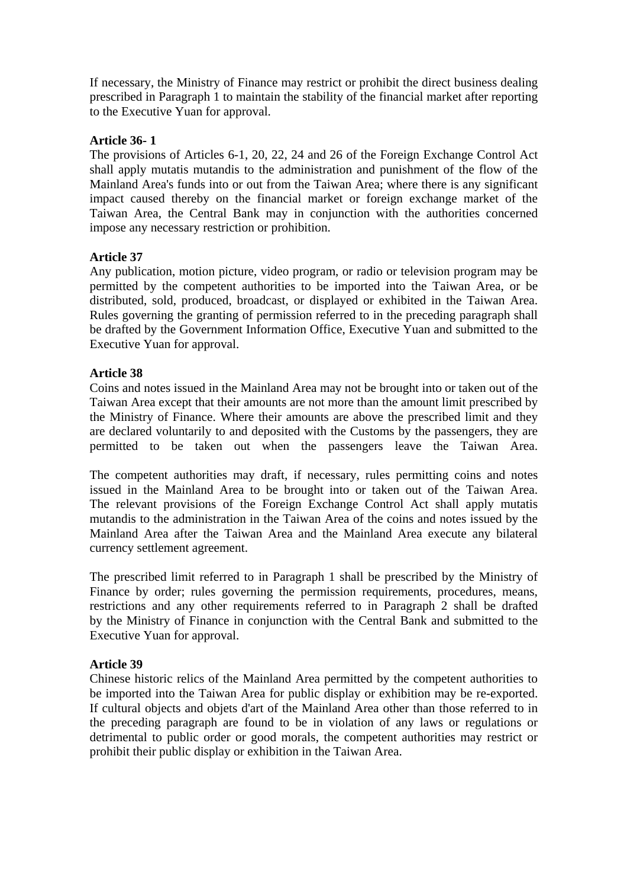If necessary, the Ministry of Finance may restrict or prohibit the direct business dealing prescribed in Paragraph 1 to maintain the stability of the financial market after reporting to the Executive Yuan for approval.

### **Article 36- 1**

The provisions of Articles 6-1, 20, 22, 24 and 26 of the Foreign Exchange Control Act shall apply mutatis mutandis to the administration and punishment of the flow of the Mainland Area's funds into or out from the Taiwan Area; where there is any significant impact caused thereby on the financial market or foreign exchange market of the Taiwan Area, the Central Bank may in conjunction with the authorities concerned impose any necessary restriction or prohibition.

## **Article 37**

Any publication, motion picture, video program, or radio or television program may be permitted by the competent authorities to be imported into the Taiwan Area, or be distributed, sold, produced, broadcast, or displayed or exhibited in the Taiwan Area. Rules governing the granting of permission referred to in the preceding paragraph shall be drafted by the Government Information Office, Executive Yuan and submitted to the Executive Yuan for approval.

### **Article 38**

Coins and notes issued in the Mainland Area may not be brought into or taken out of the Taiwan Area except that their amounts are not more than the amount limit prescribed by the Ministry of Finance. Where their amounts are above the prescribed limit and they are declared voluntarily to and deposited with the Customs by the passengers, they are permitted to be taken out when the passengers leave the Taiwan Area.

The competent authorities may draft, if necessary, rules permitting coins and notes issued in the Mainland Area to be brought into or taken out of the Taiwan Area. The relevant provisions of the Foreign Exchange Control Act shall apply mutatis mutandis to the administration in the Taiwan Area of the coins and notes issued by the Mainland Area after the Taiwan Area and the Mainland Area execute any bilateral currency settlement agreement.

The prescribed limit referred to in Paragraph 1 shall be prescribed by the Ministry of Finance by order; rules governing the permission requirements, procedures, means, restrictions and any other requirements referred to in Paragraph 2 shall be drafted by the Ministry of Finance in conjunction with the Central Bank and submitted to the Executive Yuan for approval.

#### **Article 39**

Chinese historic relics of the Mainland Area permitted by the competent authorities to be imported into the Taiwan Area for public display or exhibition may be re-exported. If cultural objects and objets d'art of the Mainland Area other than those referred to in the preceding paragraph are found to be in violation of any laws or regulations or detrimental to public order or good morals, the competent authorities may restrict or prohibit their public display or exhibition in the Taiwan Area.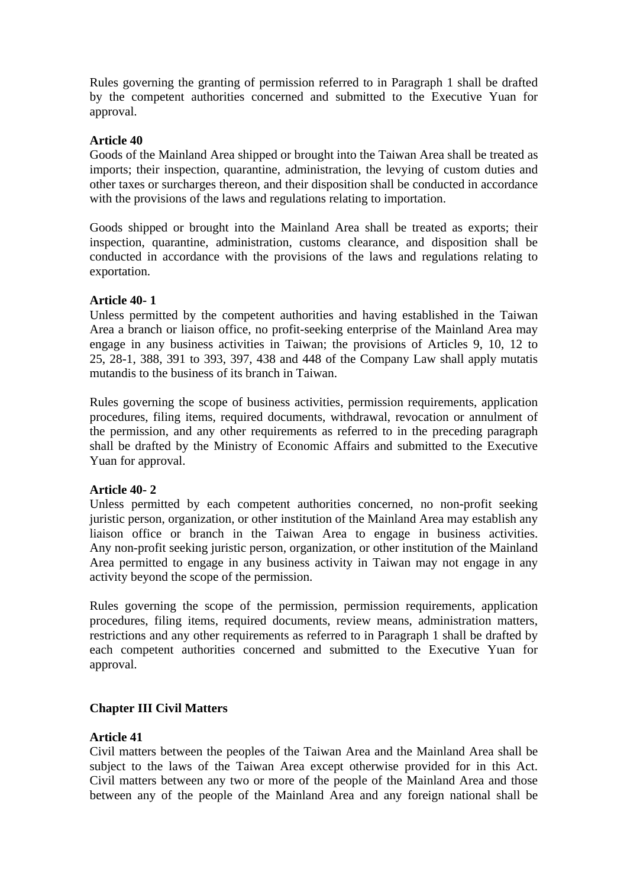Rules governing the granting of permission referred to in Paragraph 1 shall be drafted by the competent authorities concerned and submitted to the Executive Yuan for approval.

### **Article 40**

Goods of the Mainland Area shipped or brought into the Taiwan Area shall be treated as imports; their inspection, quarantine, administration, the levying of custom duties and other taxes or surcharges thereon, and their disposition shall be conducted in accordance with the provisions of the laws and regulations relating to importation.

Goods shipped or brought into the Mainland Area shall be treated as exports; their inspection, quarantine, administration, customs clearance, and disposition shall be conducted in accordance with the provisions of the laws and regulations relating to exportation.

### **Article 40- 1**

Unless permitted by the competent authorities and having established in the Taiwan Area a branch or liaison office, no profit-seeking enterprise of the Mainland Area may engage in any business activities in Taiwan; the provisions of Articles 9, 10, 12 to 25, 28-1, 388, 391 to 393, 397, 438 and 448 of the Company Law shall apply mutatis mutandis to the business of its branch in Taiwan.

Rules governing the scope of business activities, permission requirements, application procedures, filing items, required documents, withdrawal, revocation or annulment of the permission, and any other requirements as referred to in the preceding paragraph shall be drafted by the Ministry of Economic Affairs and submitted to the Executive Yuan for approval.

#### **Article 40- 2**

Unless permitted by each competent authorities concerned, no non-profit seeking juristic person, organization, or other institution of the Mainland Area may establish any liaison office or branch in the Taiwan Area to engage in business activities. Any non-profit seeking juristic person, organization, or other institution of the Mainland Area permitted to engage in any business activity in Taiwan may not engage in any activity beyond the scope of the permission.

Rules governing the scope of the permission, permission requirements, application procedures, filing items, required documents, review means, administration matters, restrictions and any other requirements as referred to in Paragraph 1 shall be drafted by each competent authorities concerned and submitted to the Executive Yuan for approval.

#### **Chapter III Civil Matters**

#### **Article 41**

Civil matters between the peoples of the Taiwan Area and the Mainland Area shall be subject to the laws of the Taiwan Area except otherwise provided for in this Act. Civil matters between any two or more of the people of the Mainland Area and those between any of the people of the Mainland Area and any foreign national shall be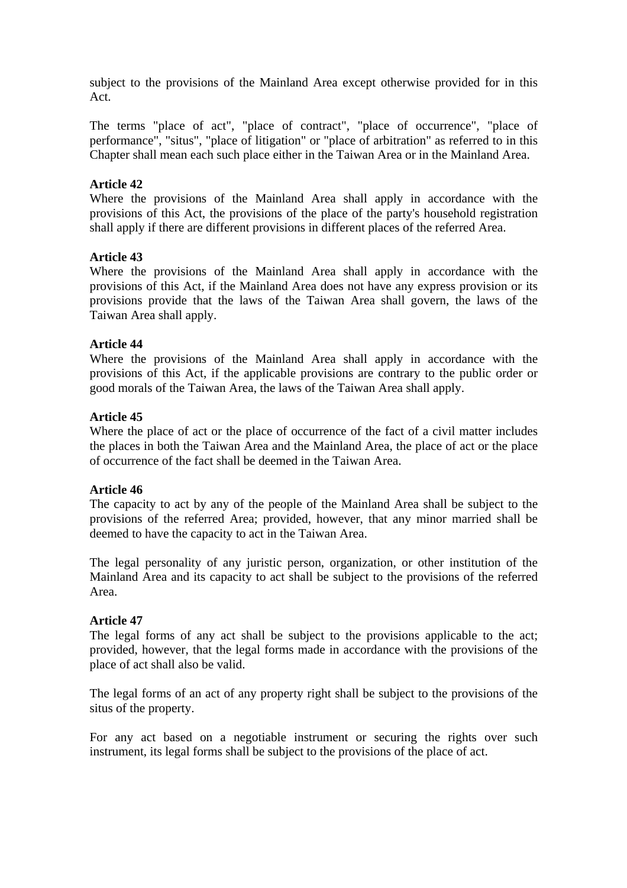subject to the provisions of the Mainland Area except otherwise provided for in this Act.

The terms "place of act", "place of contract", "place of occurrence", "place of performance", "situs", "place of litigation" or "place of arbitration" as referred to in this Chapter shall mean each such place either in the Taiwan Area or in the Mainland Area.

## **Article 42**

Where the provisions of the Mainland Area shall apply in accordance with the provisions of this Act, the provisions of the place of the party's household registration shall apply if there are different provisions in different places of the referred Area.

### **Article 43**

Where the provisions of the Mainland Area shall apply in accordance with the provisions of this Act, if the Mainland Area does not have any express provision or its provisions provide that the laws of the Taiwan Area shall govern, the laws of the Taiwan Area shall apply.

#### **Article 44**

Where the provisions of the Mainland Area shall apply in accordance with the provisions of this Act, if the applicable provisions are contrary to the public order or good morals of the Taiwan Area, the laws of the Taiwan Area shall apply.

### **Article 45**

Where the place of act or the place of occurrence of the fact of a civil matter includes the places in both the Taiwan Area and the Mainland Area, the place of act or the place of occurrence of the fact shall be deemed in the Taiwan Area.

#### **Article 46**

The capacity to act by any of the people of the Mainland Area shall be subject to the provisions of the referred Area; provided, however, that any minor married shall be deemed to have the capacity to act in the Taiwan Area.

The legal personality of any juristic person, organization, or other institution of the Mainland Area and its capacity to act shall be subject to the provisions of the referred Area.

#### **Article 47**

The legal forms of any act shall be subject to the provisions applicable to the act; provided, however, that the legal forms made in accordance with the provisions of the place of act shall also be valid.

The legal forms of an act of any property right shall be subject to the provisions of the situs of the property.

For any act based on a negotiable instrument or securing the rights over such instrument, its legal forms shall be subject to the provisions of the place of act.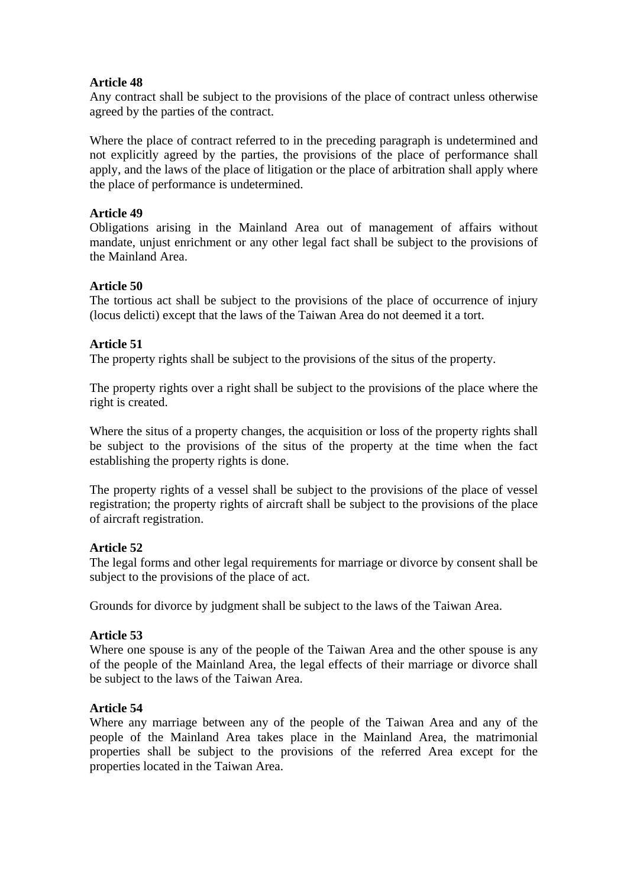## **Article 48**

Any contract shall be subject to the provisions of the place of contract unless otherwise agreed by the parties of the contract.

Where the place of contract referred to in the preceding paragraph is undetermined and not explicitly agreed by the parties, the provisions of the place of performance shall apply, and the laws of the place of litigation or the place of arbitration shall apply where the place of performance is undetermined.

### **Article 49**

Obligations arising in the Mainland Area out of management of affairs without mandate, unjust enrichment or any other legal fact shall be subject to the provisions of the Mainland Area.

### **Article 50**

The tortious act shall be subject to the provisions of the place of occurrence of injury (locus delicti) except that the laws of the Taiwan Area do not deemed it a tort.

### **Article 51**

The property rights shall be subject to the provisions of the situs of the property.

The property rights over a right shall be subject to the provisions of the place where the right is created.

Where the situs of a property changes, the acquisition or loss of the property rights shall be subject to the provisions of the situs of the property at the time when the fact establishing the property rights is done.

The property rights of a vessel shall be subject to the provisions of the place of vessel registration; the property rights of aircraft shall be subject to the provisions of the place of aircraft registration.

#### **Article 52**

The legal forms and other legal requirements for marriage or divorce by consent shall be subject to the provisions of the place of act.

Grounds for divorce by judgment shall be subject to the laws of the Taiwan Area.

#### **Article 53**

Where one spouse is any of the people of the Taiwan Area and the other spouse is any of the people of the Mainland Area, the legal effects of their marriage or divorce shall be subject to the laws of the Taiwan Area.

#### **Article 54**

Where any marriage between any of the people of the Taiwan Area and any of the people of the Mainland Area takes place in the Mainland Area, the matrimonial properties shall be subject to the provisions of the referred Area except for the properties located in the Taiwan Area.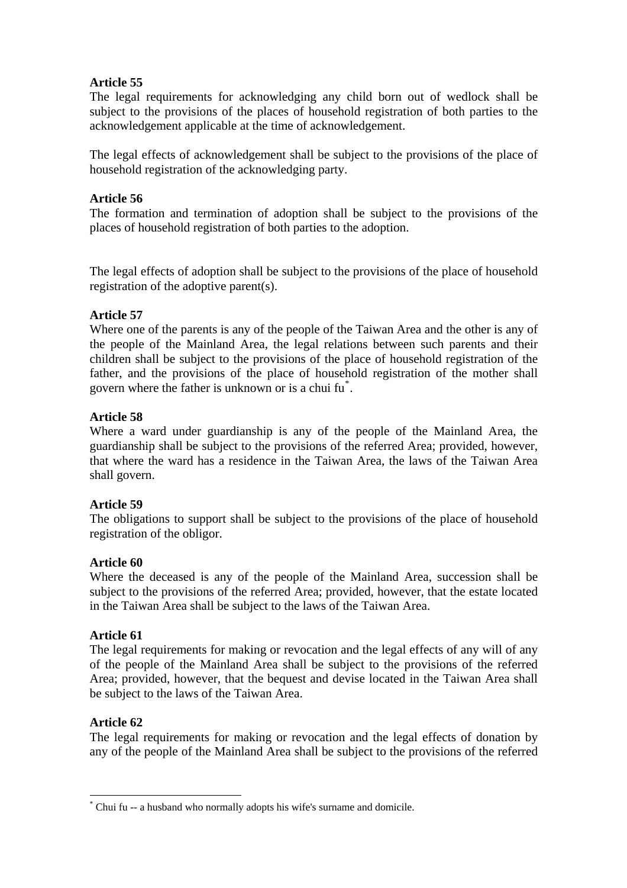## **Article 55**

The legal requirements for acknowledging any child born out of wedlock shall be subject to the provisions of the places of household registration of both parties to the acknowledgement applicable at the time of acknowledgement.

The legal effects of acknowledgement shall be subject to the provisions of the place of household registration of the acknowledging party.

### **Article 56**

The formation and termination of adoption shall be subject to the provisions of the places of household registration of both parties to the adoption.

The legal effects of adoption shall be subject to the provisions of the place of household registration of the adoptive parent(s).

### **Article 57**

Where one of the parents is any of the people of the Taiwan Area and the other is any of the people of the Mainland Area, the legal relations between such parents and their children shall be subject to the provisions of the place of household registration of the father, and the provisions of the place of household registration of the mother shall govern where the father is unknown or is a chui fu[\\*](#page-27-0) .

### **Article 58**

Where a ward under guardianship is any of the people of the Mainland Area, the guardianship shall be subject to the provisions of the referred Area; provided, however, that where the ward has a residence in the Taiwan Area, the laws of the Taiwan Area shall govern.

#### **Article 59**

The obligations to support shall be subject to the provisions of the place of household registration of the obligor.

#### **Article 60**

Where the deceased is any of the people of the Mainland Area, succession shall be subject to the provisions of the referred Area; provided, however, that the estate located in the Taiwan Area shall be subject to the laws of the Taiwan Area.

#### **Article 61**

The legal requirements for making or revocation and the legal effects of any will of any of the people of the Mainland Area shall be subject to the provisions of the referred Area; provided, however, that the bequest and devise located in the Taiwan Area shall be subject to the laws of the Taiwan Area.

#### **Article 62**

 $\overline{a}$ 

The legal requirements for making or revocation and the legal effects of donation by any of the people of the Mainland Area shall be subject to the provisions of the referred

<span id="page-27-0"></span><sup>\*</sup> Chui fu -- a husband who normally adopts his wife's surname and domicile.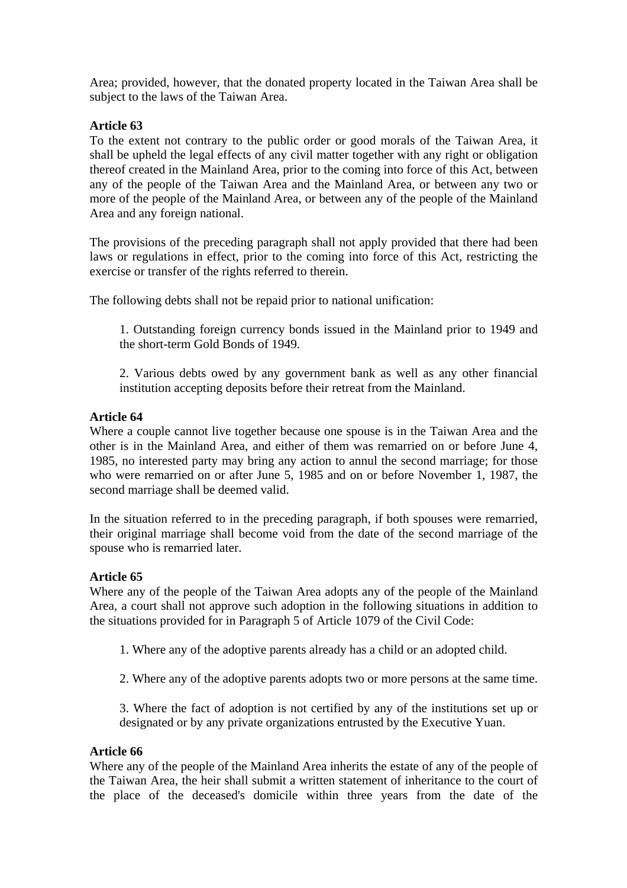Area; provided, however, that the donated property located in the Taiwan Area shall be subject to the laws of the Taiwan Area.

## **Article 63**

To the extent not contrary to the public order or good morals of the Taiwan Area, it shall be upheld the legal effects of any civil matter together with any right or obligation thereof created in the Mainland Area, prior to the coming into force of this Act, between any of the people of the Taiwan Area and the Mainland Area, or between any two or more of the people of the Mainland Area, or between any of the people of the Mainland Area and any foreign national.

The provisions of the preceding paragraph shall not apply provided that there had been laws or regulations in effect, prior to the coming into force of this Act, restricting the exercise or transfer of the rights referred to therein.

The following debts shall not be repaid prior to national unification:

1. Outstanding foreign currency bonds issued in the Mainland prior to 1949 and the short-term Gold Bonds of 1949.

2. Various debts owed by any government bank as well as any other financial institution accepting deposits before their retreat from the Mainland.

## **Article 64**

Where a couple cannot live together because one spouse is in the Taiwan Area and the other is in the Mainland Area, and either of them was remarried on or before June 4, 1985, no interested party may bring any action to annul the second marriage; for those who were remarried on or after June 5, 1985 and on or before November 1, 1987, the second marriage shall be deemed valid.

In the situation referred to in the preceding paragraph, if both spouses were remarried, their original marriage shall become void from the date of the second marriage of the spouse who is remarried later.

## **Article 65**

Where any of the people of the Taiwan Area adopts any of the people of the Mainland Area, a court shall not approve such adoption in the following situations in addition to the situations provided for in Paragraph 5 of Article 1079 of the Civil Code:

- 1. Where any of the adoptive parents already has a child or an adopted child.
- 2. Where any of the adoptive parents adopts two or more persons at the same time.

3. Where the fact of adoption is not certified by any of the institutions set up or designated or by any private organizations entrusted by the Executive Yuan.

#### **Article 66**

Where any of the people of the Mainland Area inherits the estate of any of the people of the Taiwan Area, the heir shall submit a written statement of inheritance to the court of the place of the deceased's domicile within three years from the date of the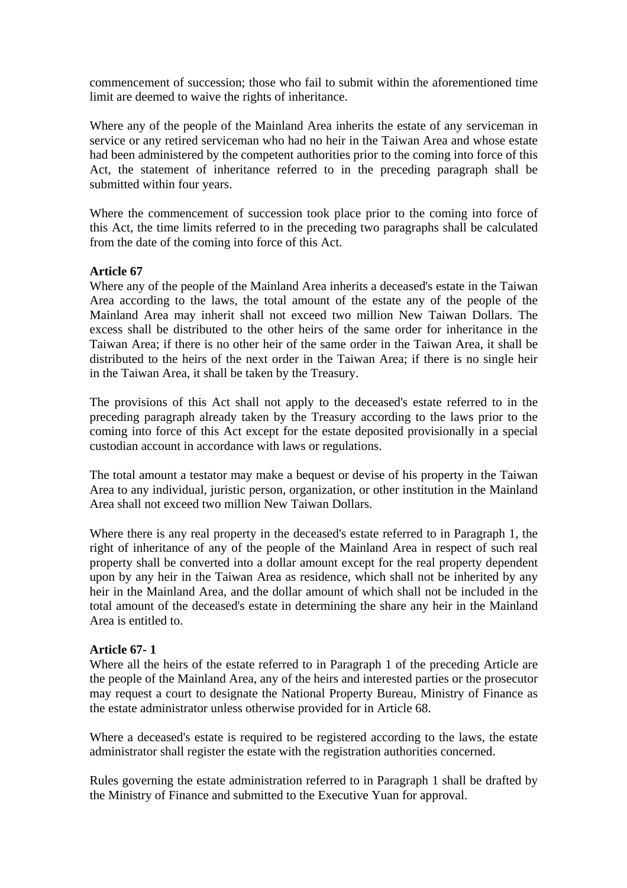commencement of succession; those who fail to submit within the aforementioned time limit are deemed to waive the rights of inheritance.

Where any of the people of the Mainland Area inherits the estate of any serviceman in service or any retired serviceman who had no heir in the Taiwan Area and whose estate had been administered by the competent authorities prior to the coming into force of this Act, the statement of inheritance referred to in the preceding paragraph shall be submitted within four years.

Where the commencement of succession took place prior to the coming into force of this Act, the time limits referred to in the preceding two paragraphs shall be calculated from the date of the coming into force of this Act.

### **Article 67**

Where any of the people of the Mainland Area inherits a deceased's estate in the Taiwan Area according to the laws, the total amount of the estate any of the people of the Mainland Area may inherit shall not exceed two million New Taiwan Dollars. The excess shall be distributed to the other heirs of the same order for inheritance in the Taiwan Area; if there is no other heir of the same order in the Taiwan Area, it shall be distributed to the heirs of the next order in the Taiwan Area; if there is no single heir in the Taiwan Area, it shall be taken by the Treasury.

The provisions of this Act shall not apply to the deceased's estate referred to in the preceding paragraph already taken by the Treasury according to the laws prior to the coming into force of this Act except for the estate deposited provisionally in a special custodian account in accordance with laws or regulations.

The total amount a testator may make a bequest or devise of his property in the Taiwan Area to any individual, juristic person, organization, or other institution in the Mainland Area shall not exceed two million New Taiwan Dollars.

Where there is any real property in the deceased's estate referred to in Paragraph 1, the right of inheritance of any of the people of the Mainland Area in respect of such real property shall be converted into a dollar amount except for the real property dependent upon by any heir in the Taiwan Area as residence, which shall not be inherited by any heir in the Mainland Area, and the dollar amount of which shall not be included in the total amount of the deceased's estate in determining the share any heir in the Mainland Area is entitled to.

#### **Article 67- 1**

Where all the heirs of the estate referred to in Paragraph 1 of the preceding Article are the people of the Mainland Area, any of the heirs and interested parties or the prosecutor may request a court to designate the National Property Bureau, Ministry of Finance as the estate administrator unless otherwise provided for in Article 68.

Where a deceased's estate is required to be registered according to the laws, the estate administrator shall register the estate with the registration authorities concerned.

Rules governing the estate administration referred to in Paragraph 1 shall be drafted by the Ministry of Finance and submitted to the Executive Yuan for approval.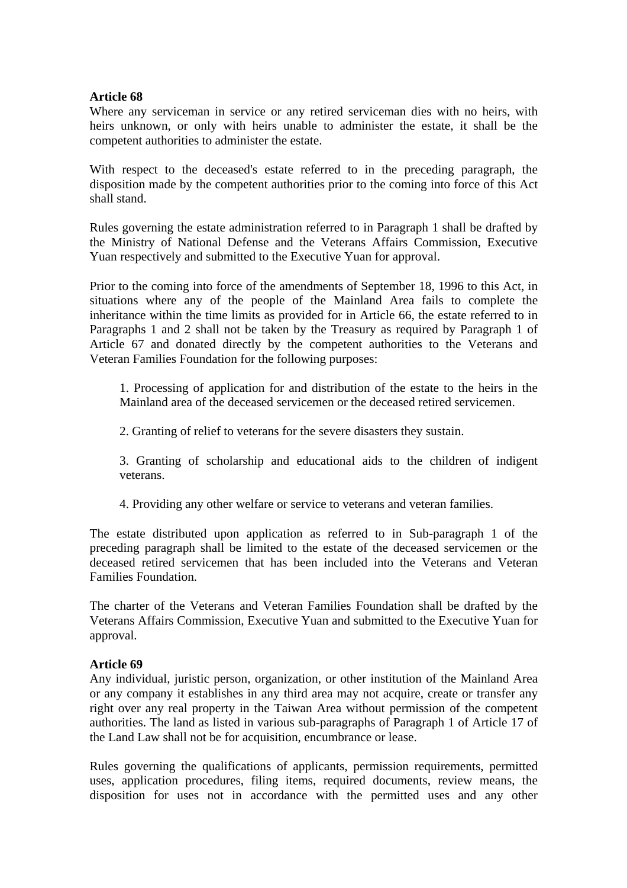#### **Article 68**

Where any serviceman in service or any retired serviceman dies with no heirs, with heirs unknown, or only with heirs unable to administer the estate, it shall be the competent authorities to administer the estate.

With respect to the deceased's estate referred to in the preceding paragraph, the disposition made by the competent authorities prior to the coming into force of this Act shall stand.

Rules governing the estate administration referred to in Paragraph 1 shall be drafted by the Ministry of National Defense and the Veterans Affairs Commission, Executive Yuan respectively and submitted to the Executive Yuan for approval.

Prior to the coming into force of the amendments of September 18, 1996 to this Act, in situations where any of the people of the Mainland Area fails to complete the inheritance within the time limits as provided for in Article 66, the estate referred to in Paragraphs 1 and 2 shall not be taken by the Treasury as required by Paragraph 1 of Article 67 and donated directly by the competent authorities to the Veterans and Veteran Families Foundation for the following purposes:

1. Processing of application for and distribution of the estate to the heirs in the Mainland area of the deceased servicemen or the deceased retired servicemen.

2. Granting of relief to veterans for the severe disasters they sustain.

3. Granting of scholarship and educational aids to the children of indigent veterans.

4. Providing any other welfare or service to veterans and veteran families.

The estate distributed upon application as referred to in Sub-paragraph 1 of the preceding paragraph shall be limited to the estate of the deceased servicemen or the deceased retired servicemen that has been included into the Veterans and Veteran Families Foundation.

The charter of the Veterans and Veteran Families Foundation shall be drafted by the Veterans Affairs Commission, Executive Yuan and submitted to the Executive Yuan for approval.

#### **Article 69**

Any individual, juristic person, organization, or other institution of the Mainland Area or any company it establishes in any third area may not acquire, create or transfer any right over any real property in the Taiwan Area without permission of the competent authorities. The land as listed in various sub-paragraphs of Paragraph 1 of Article 17 of the Land Law shall not be for acquisition, encumbrance or lease.

Rules governing the qualifications of applicants, permission requirements, permitted uses, application procedures, filing items, required documents, review means, the disposition for uses not in accordance with the permitted uses and any other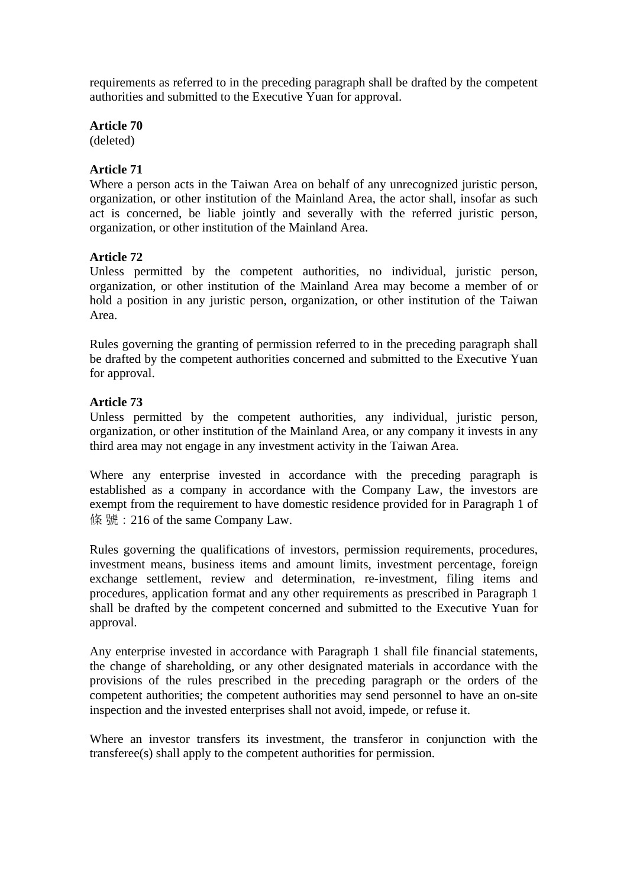requirements as referred to in the preceding paragraph shall be drafted by the competent authorities and submitted to the Executive Yuan for approval.

### **Article 70**

(deleted)

### **Article 71**

Where a person acts in the Taiwan Area on behalf of any unrecognized juristic person, organization, or other institution of the Mainland Area, the actor shall, insofar as such act is concerned, be liable jointly and severally with the referred juristic person, organization, or other institution of the Mainland Area.

### **Article 72**

Unless permitted by the competent authorities, no individual, juristic person, organization, or other institution of the Mainland Area may become a member of or hold a position in any juristic person, organization, or other institution of the Taiwan Area.

Rules governing the granting of permission referred to in the preceding paragraph shall be drafted by the competent authorities concerned and submitted to the Executive Yuan for approval.

### **Article 73**

Unless permitted by the competent authorities, any individual, juristic person, organization, or other institution of the Mainland Area, or any company it invests in any third area may not engage in any investment activity in the Taiwan Area.

Where any enterprise invested in accordance with the preceding paragraph is established as a company in accordance with the Company Law, the investors are exempt from the requirement to have domestic residence provided for in Paragraph 1 of 條 號:216 of the same Company Law.

Rules governing the qualifications of investors, permission requirements, procedures, investment means, business items and amount limits, investment percentage, foreign exchange settlement, review and determination, re-investment, filing items and procedures, application format and any other requirements as prescribed in Paragraph 1 shall be drafted by the competent concerned and submitted to the Executive Yuan for approval.

Any enterprise invested in accordance with Paragraph 1 shall file financial statements, the change of shareholding, or any other designated materials in accordance with the provisions of the rules prescribed in the preceding paragraph or the orders of the competent authorities; the competent authorities may send personnel to have an on-site inspection and the invested enterprises shall not avoid, impede, or refuse it.

Where an investor transfers its investment, the transferor in conjunction with the transferee(s) shall apply to the competent authorities for permission.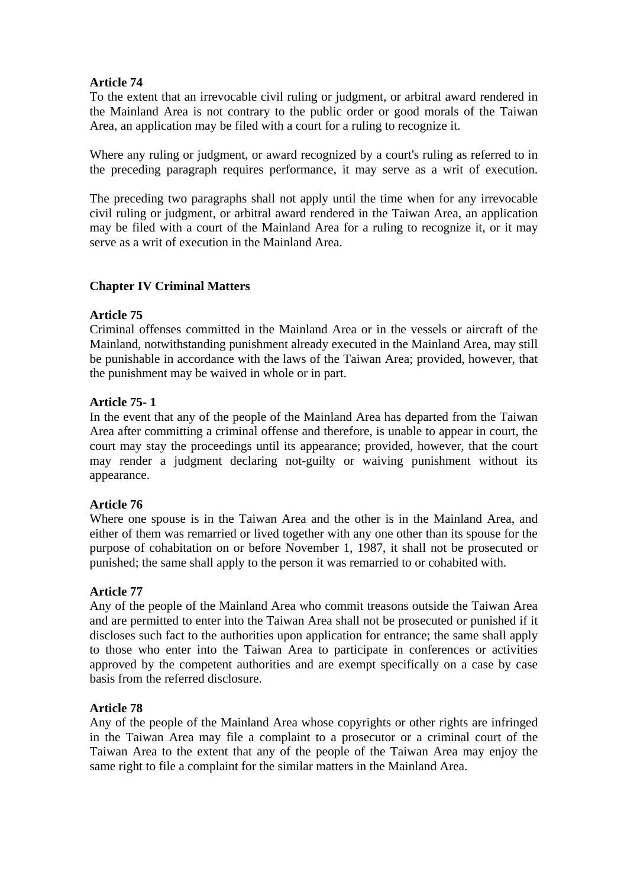## **Article 74**

To the extent that an irrevocable civil ruling or judgment, or arbitral award rendered in the Mainland Area is not contrary to the public order or good morals of the Taiwan Area, an application may be filed with a court for a ruling to recognize it.

Where any ruling or judgment, or award recognized by a court's ruling as referred to in the preceding paragraph requires performance, it may serve as a writ of execution.

The preceding two paragraphs shall not apply until the time when for any irrevocable civil ruling or judgment, or arbitral award rendered in the Taiwan Area, an application may be filed with a court of the Mainland Area for a ruling to recognize it, or it may serve as a writ of execution in the Mainland Area.

### **Chapter IV Criminal Matters**

### **Article 75**

Criminal offenses committed in the Mainland Area or in the vessels or aircraft of the Mainland, notwithstanding punishment already executed in the Mainland Area, may still be punishable in accordance with the laws of the Taiwan Area; provided, however, that the punishment may be waived in whole or in part.

#### **Article 75- 1**

In the event that any of the people of the Mainland Area has departed from the Taiwan Area after committing a criminal offense and therefore, is unable to appear in court, the court may stay the proceedings until its appearance; provided, however, that the court may render a judgment declaring not-guilty or waiving punishment without its appearance.

#### **Article 76**

Where one spouse is in the Taiwan Area and the other is in the Mainland Area, and either of them was remarried or lived together with any one other than its spouse for the purpose of cohabitation on or before November 1, 1987, it shall not be prosecuted or punished; the same shall apply to the person it was remarried to or cohabited with.

#### **Article 77**

Any of the people of the Mainland Area who commit treasons outside the Taiwan Area and are permitted to enter into the Taiwan Area shall not be prosecuted or punished if it discloses such fact to the authorities upon application for entrance; the same shall apply to those who enter into the Taiwan Area to participate in conferences or activities approved by the competent authorities and are exempt specifically on a case by case basis from the referred disclosure.

#### **Article 78**

Any of the people of the Mainland Area whose copyrights or other rights are infringed in the Taiwan Area may file a complaint to a prosecutor or a criminal court of the Taiwan Area to the extent that any of the people of the Taiwan Area may enjoy the same right to file a complaint for the similar matters in the Mainland Area.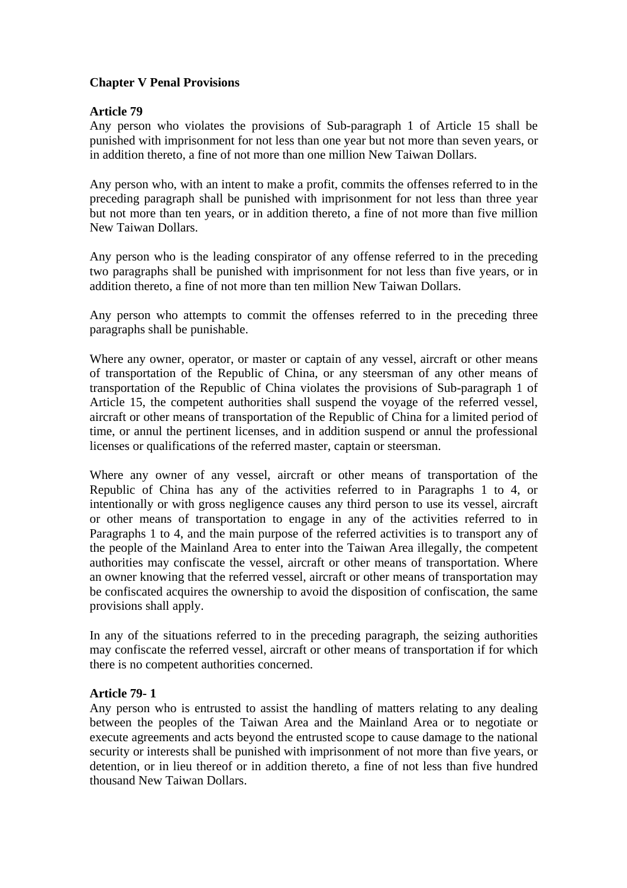## **Chapter V Penal Provisions**

## **Article 79**

Any person who violates the provisions of Sub-paragraph 1 of Article 15 shall be punished with imprisonment for not less than one year but not more than seven years, or in addition thereto, a fine of not more than one million New Taiwan Dollars.

Any person who, with an intent to make a profit, commits the offenses referred to in the preceding paragraph shall be punished with imprisonment for not less than three year but not more than ten years, or in addition thereto, a fine of not more than five million New Taiwan Dollars.

Any person who is the leading conspirator of any offense referred to in the preceding two paragraphs shall be punished with imprisonment for not less than five years, or in addition thereto, a fine of not more than ten million New Taiwan Dollars.

Any person who attempts to commit the offenses referred to in the preceding three paragraphs shall be punishable.

Where any owner, operator, or master or captain of any vessel, aircraft or other means of transportation of the Republic of China, or any steersman of any other means of transportation of the Republic of China violates the provisions of Sub-paragraph 1 of Article 15, the competent authorities shall suspend the voyage of the referred vessel, aircraft or other means of transportation of the Republic of China for a limited period of time, or annul the pertinent licenses, and in addition suspend or annul the professional licenses or qualifications of the referred master, captain or steersman.

Where any owner of any vessel, aircraft or other means of transportation of the Republic of China has any of the activities referred to in Paragraphs 1 to 4, or intentionally or with gross negligence causes any third person to use its vessel, aircraft or other means of transportation to engage in any of the activities referred to in Paragraphs 1 to 4, and the main purpose of the referred activities is to transport any of the people of the Mainland Area to enter into the Taiwan Area illegally, the competent authorities may confiscate the vessel, aircraft or other means of transportation. Where an owner knowing that the referred vessel, aircraft or other means of transportation may be confiscated acquires the ownership to avoid the disposition of confiscation, the same provisions shall apply.

In any of the situations referred to in the preceding paragraph, the seizing authorities may confiscate the referred vessel, aircraft or other means of transportation if for which there is no competent authorities concerned.

#### **Article 79- 1**

Any person who is entrusted to assist the handling of matters relating to any dealing between the peoples of the Taiwan Area and the Mainland Area or to negotiate or execute agreements and acts beyond the entrusted scope to cause damage to the national security or interests shall be punished with imprisonment of not more than five years, or detention, or in lieu thereof or in addition thereto, a fine of not less than five hundred thousand New Taiwan Dollars.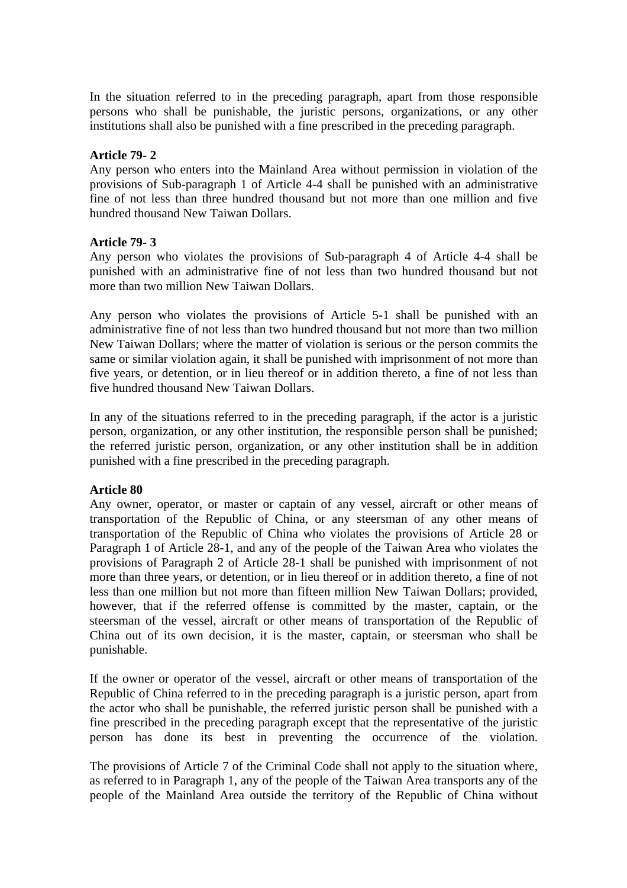In the situation referred to in the preceding paragraph, apart from those responsible persons who shall be punishable, the juristic persons, organizations, or any other institutions shall also be punished with a fine prescribed in the preceding paragraph.

#### **Article 79- 2**

Any person who enters into the Mainland Area without permission in violation of the provisions of Sub-paragraph 1 of Article 4-4 shall be punished with an administrative fine of not less than three hundred thousand but not more than one million and five hundred thousand New Taiwan Dollars.

#### **Article 79- 3**

Any person who violates the provisions of Sub-paragraph 4 of Article 4-4 shall be punished with an administrative fine of not less than two hundred thousand but not more than two million New Taiwan Dollars.

Any person who violates the provisions of Article 5-1 shall be punished with an administrative fine of not less than two hundred thousand but not more than two million New Taiwan Dollars; where the matter of violation is serious or the person commits the same or similar violation again, it shall be punished with imprisonment of not more than five years, or detention, or in lieu thereof or in addition thereto, a fine of not less than five hundred thousand New Taiwan Dollars.

In any of the situations referred to in the preceding paragraph, if the actor is a juristic person, organization, or any other institution, the responsible person shall be punished; the referred juristic person, organization, or any other institution shall be in addition punished with a fine prescribed in the preceding paragraph.

#### **Article 80**

Any owner, operator, or master or captain of any vessel, aircraft or other means of transportation of the Republic of China, or any steersman of any other means of transportation of the Republic of China who violates the provisions of Article 28 or Paragraph 1 of Article 28-1, and any of the people of the Taiwan Area who violates the provisions of Paragraph 2 of Article 28-1 shall be punished with imprisonment of not more than three years, or detention, or in lieu thereof or in addition thereto, a fine of not less than one million but not more than fifteen million New Taiwan Dollars; provided, however, that if the referred offense is committed by the master, captain, or the steersman of the vessel, aircraft or other means of transportation of the Republic of China out of its own decision, it is the master, captain, or steersman who shall be punishable.

If the owner or operator of the vessel, aircraft or other means of transportation of the Republic of China referred to in the preceding paragraph is a juristic person, apart from the actor who shall be punishable, the referred juristic person shall be punished with a fine prescribed in the preceding paragraph except that the representative of the juristic person has done its best in preventing the occurrence of the violation.

The provisions of Article 7 of the Criminal Code shall not apply to the situation where, as referred to in Paragraph 1, any of the people of the Taiwan Area transports any of the people of the Mainland Area outside the territory of the Republic of China without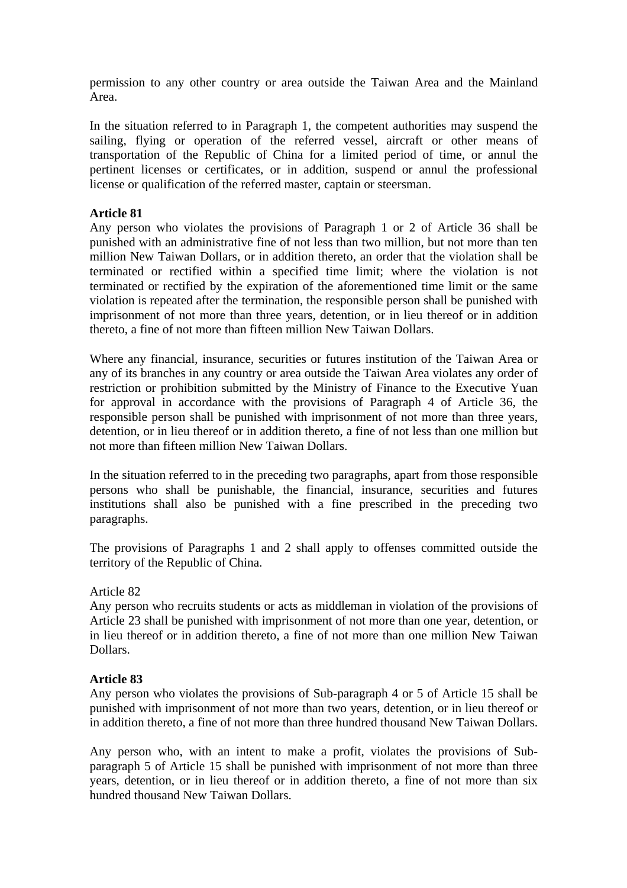permission to any other country or area outside the Taiwan Area and the Mainland Area.

In the situation referred to in Paragraph 1, the competent authorities may suspend the sailing, flying or operation of the referred vessel, aircraft or other means of transportation of the Republic of China for a limited period of time, or annul the pertinent licenses or certificates, or in addition, suspend or annul the professional license or qualification of the referred master, captain or steersman.

### **Article 81**

Any person who violates the provisions of Paragraph 1 or 2 of Article 36 shall be punished with an administrative fine of not less than two million, but not more than ten million New Taiwan Dollars, or in addition thereto, an order that the violation shall be terminated or rectified within a specified time limit; where the violation is not terminated or rectified by the expiration of the aforementioned time limit or the same violation is repeated after the termination, the responsible person shall be punished with imprisonment of not more than three years, detention, or in lieu thereof or in addition thereto, a fine of not more than fifteen million New Taiwan Dollars.

Where any financial, insurance, securities or futures institution of the Taiwan Area or any of its branches in any country or area outside the Taiwan Area violates any order of restriction or prohibition submitted by the Ministry of Finance to the Executive Yuan for approval in accordance with the provisions of Paragraph 4 of Article 36, the responsible person shall be punished with imprisonment of not more than three years, detention, or in lieu thereof or in addition thereto, a fine of not less than one million but not more than fifteen million New Taiwan Dollars.

In the situation referred to in the preceding two paragraphs, apart from those responsible persons who shall be punishable, the financial, insurance, securities and futures institutions shall also be punished with a fine prescribed in the preceding two paragraphs.

The provisions of Paragraphs 1 and 2 shall apply to offenses committed outside the territory of the Republic of China.

#### Article 82

Any person who recruits students or acts as middleman in violation of the provisions of Article 23 shall be punished with imprisonment of not more than one year, detention, or in lieu thereof or in addition thereto, a fine of not more than one million New Taiwan Dollars.

#### **Article 83**

Any person who violates the provisions of Sub-paragraph 4 or 5 of Article 15 shall be punished with imprisonment of not more than two years, detention, or in lieu thereof or in addition thereto, a fine of not more than three hundred thousand New Taiwan Dollars.

Any person who, with an intent to make a profit, violates the provisions of Subparagraph 5 of Article 15 shall be punished with imprisonment of not more than three years, detention, or in lieu thereof or in addition thereto, a fine of not more than six hundred thousand New Taiwan Dollars.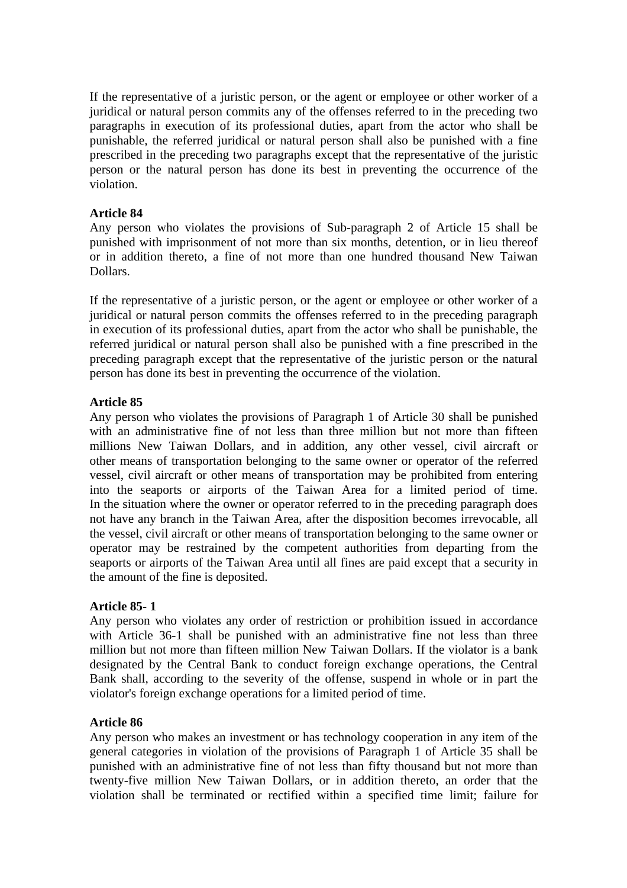If the representative of a juristic person, or the agent or employee or other worker of a juridical or natural person commits any of the offenses referred to in the preceding two paragraphs in execution of its professional duties, apart from the actor who shall be punishable, the referred juridical or natural person shall also be punished with a fine prescribed in the preceding two paragraphs except that the representative of the juristic person or the natural person has done its best in preventing the occurrence of the violation.

### **Article 84**

Any person who violates the provisions of Sub-paragraph 2 of Article 15 shall be punished with imprisonment of not more than six months, detention, or in lieu thereof or in addition thereto, a fine of not more than one hundred thousand New Taiwan Dollars.

If the representative of a juristic person, or the agent or employee or other worker of a juridical or natural person commits the offenses referred to in the preceding paragraph in execution of its professional duties, apart from the actor who shall be punishable, the referred juridical or natural person shall also be punished with a fine prescribed in the preceding paragraph except that the representative of the juristic person or the natural person has done its best in preventing the occurrence of the violation.

### **Article 85**

Any person who violates the provisions of Paragraph 1 of Article 30 shall be punished with an administrative fine of not less than three million but not more than fifteen millions New Taiwan Dollars, and in addition, any other vessel, civil aircraft or other means of transportation belonging to the same owner or operator of the referred vessel, civil aircraft or other means of transportation may be prohibited from entering into the seaports or airports of the Taiwan Area for a limited period of time. In the situation where the owner or operator referred to in the preceding paragraph does not have any branch in the Taiwan Area, after the disposition becomes irrevocable, all the vessel, civil aircraft or other means of transportation belonging to the same owner or operator may be restrained by the competent authorities from departing from the seaports or airports of the Taiwan Area until all fines are paid except that a security in the amount of the fine is deposited.

## **Article 85- 1**

Any person who violates any order of restriction or prohibition issued in accordance with Article 36-1 shall be punished with an administrative fine not less than three million but not more than fifteen million New Taiwan Dollars. If the violator is a bank designated by the Central Bank to conduct foreign exchange operations, the Central Bank shall, according to the severity of the offense, suspend in whole or in part the violator's foreign exchange operations for a limited period of time.

#### **Article 86**

Any person who makes an investment or has technology cooperation in any item of the general categories in violation of the provisions of Paragraph 1 of Article 35 shall be punished with an administrative fine of not less than fifty thousand but not more than twenty-five million New Taiwan Dollars, or in addition thereto, an order that the violation shall be terminated or rectified within a specified time limit; failure for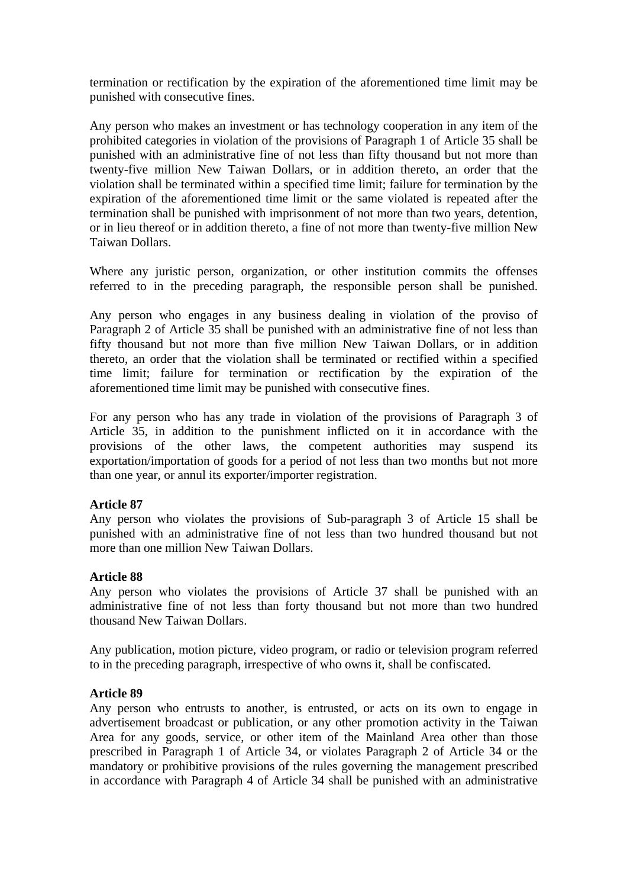termination or rectification by the expiration of the aforementioned time limit may be punished with consecutive fines.

Any person who makes an investment or has technology cooperation in any item of the prohibited categories in violation of the provisions of Paragraph 1 of Article 35 shall be punished with an administrative fine of not less than fifty thousand but not more than twenty-five million New Taiwan Dollars, or in addition thereto, an order that the violation shall be terminated within a specified time limit; failure for termination by the expiration of the aforementioned time limit or the same violated is repeated after the termination shall be punished with imprisonment of not more than two years, detention, or in lieu thereof or in addition thereto, a fine of not more than twenty-five million New Taiwan Dollars.

Where any juristic person, organization, or other institution commits the offenses referred to in the preceding paragraph, the responsible person shall be punished.

Any person who engages in any business dealing in violation of the proviso of Paragraph 2 of Article 35 shall be punished with an administrative fine of not less than fifty thousand but not more than five million New Taiwan Dollars, or in addition thereto, an order that the violation shall be terminated or rectified within a specified time limit; failure for termination or rectification by the expiration of the aforementioned time limit may be punished with consecutive fines.

For any person who has any trade in violation of the provisions of Paragraph 3 of Article 35, in addition to the punishment inflicted on it in accordance with the provisions of the other laws, the competent authorities may suspend its exportation/importation of goods for a period of not less than two months but not more than one year, or annul its exporter/importer registration.

#### **Article 87**

Any person who violates the provisions of Sub-paragraph 3 of Article 15 shall be punished with an administrative fine of not less than two hundred thousand but not more than one million New Taiwan Dollars.

#### **Article 88**

Any person who violates the provisions of Article 37 shall be punished with an administrative fine of not less than forty thousand but not more than two hundred thousand New Taiwan Dollars.

Any publication, motion picture, video program, or radio or television program referred to in the preceding paragraph, irrespective of who owns it, shall be confiscated.

#### **Article 89**

Any person who entrusts to another, is entrusted, or acts on its own to engage in advertisement broadcast or publication, or any other promotion activity in the Taiwan Area for any goods, service, or other item of the Mainland Area other than those prescribed in Paragraph 1 of Article 34, or violates Paragraph 2 of Article 34 or the mandatory or prohibitive provisions of the rules governing the management prescribed in accordance with Paragraph 4 of Article 34 shall be punished with an administrative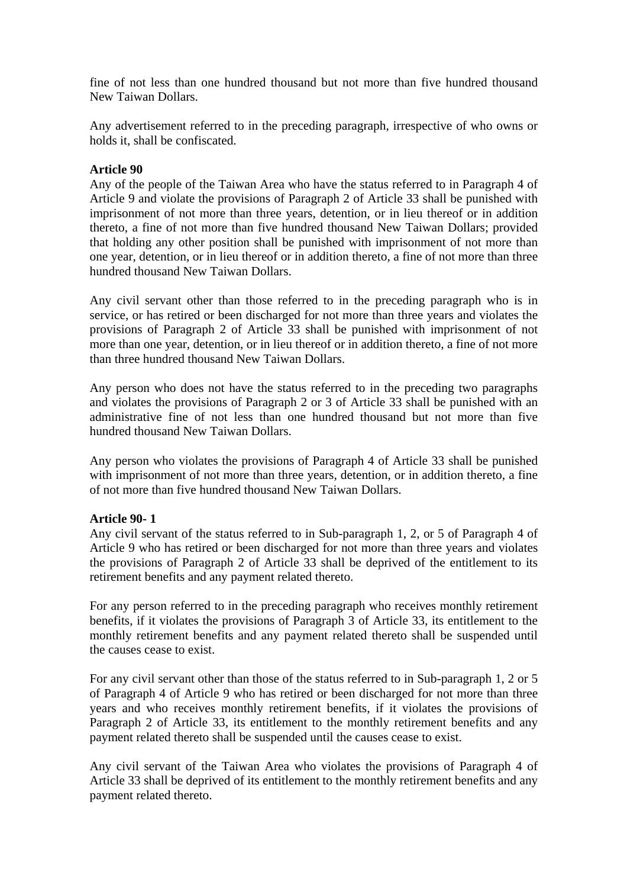fine of not less than one hundred thousand but not more than five hundred thousand New Taiwan Dollars.

Any advertisement referred to in the preceding paragraph, irrespective of who owns or holds it, shall be confiscated.

### **Article 90**

Any of the people of the Taiwan Area who have the status referred to in Paragraph 4 of Article 9 and violate the provisions of Paragraph 2 of Article 33 shall be punished with imprisonment of not more than three years, detention, or in lieu thereof or in addition thereto, a fine of not more than five hundred thousand New Taiwan Dollars; provided that holding any other position shall be punished with imprisonment of not more than one year, detention, or in lieu thereof or in addition thereto, a fine of not more than three hundred thousand New Taiwan Dollars.

Any civil servant other than those referred to in the preceding paragraph who is in service, or has retired or been discharged for not more than three years and violates the provisions of Paragraph 2 of Article 33 shall be punished with imprisonment of not more than one year, detention, or in lieu thereof or in addition thereto, a fine of not more than three hundred thousand New Taiwan Dollars.

Any person who does not have the status referred to in the preceding two paragraphs and violates the provisions of Paragraph 2 or 3 of Article 33 shall be punished with an administrative fine of not less than one hundred thousand but not more than five hundred thousand New Taiwan Dollars.

Any person who violates the provisions of Paragraph 4 of Article 33 shall be punished with imprisonment of not more than three years, detention, or in addition thereto, a fine of not more than five hundred thousand New Taiwan Dollars.

#### **Article 90- 1**

Any civil servant of the status referred to in Sub-paragraph 1, 2, or 5 of Paragraph 4 of Article 9 who has retired or been discharged for not more than three years and violates the provisions of Paragraph 2 of Article 33 shall be deprived of the entitlement to its retirement benefits and any payment related thereto.

For any person referred to in the preceding paragraph who receives monthly retirement benefits, if it violates the provisions of Paragraph 3 of Article 33, its entitlement to the monthly retirement benefits and any payment related thereto shall be suspended until the causes cease to exist.

For any civil servant other than those of the status referred to in Sub-paragraph 1, 2 or 5 of Paragraph 4 of Article 9 who has retired or been discharged for not more than three years and who receives monthly retirement benefits, if it violates the provisions of Paragraph 2 of Article 33, its entitlement to the monthly retirement benefits and any payment related thereto shall be suspended until the causes cease to exist.

Any civil servant of the Taiwan Area who violates the provisions of Paragraph 4 of Article 33 shall be deprived of its entitlement to the monthly retirement benefits and any payment related thereto.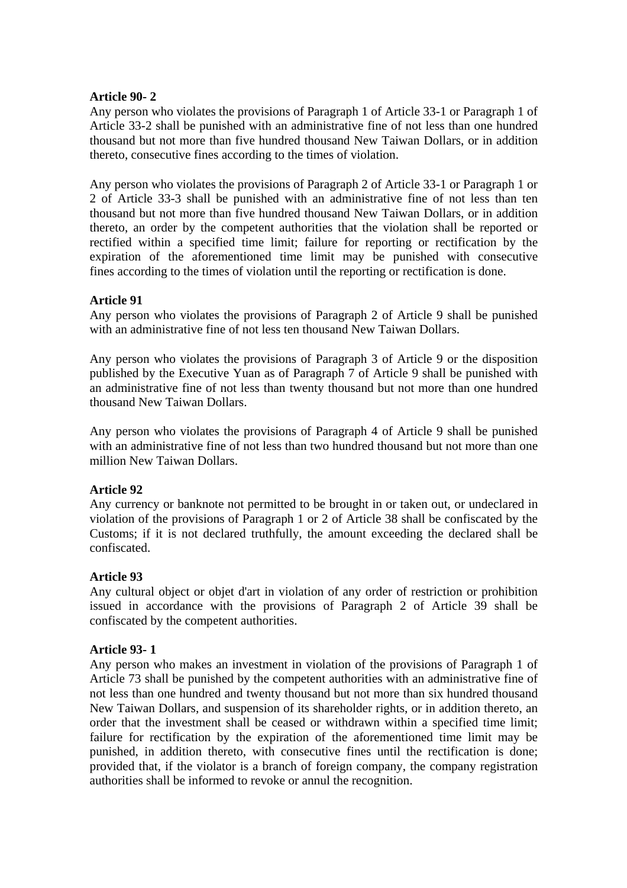#### **Article 90- 2**

Any person who violates the provisions of Paragraph 1 of Article 33-1 or Paragraph 1 of Article 33-2 shall be punished with an administrative fine of not less than one hundred thousand but not more than five hundred thousand New Taiwan Dollars, or in addition thereto, consecutive fines according to the times of violation.

Any person who violates the provisions of Paragraph 2 of Article 33-1 or Paragraph 1 or 2 of Article 33-3 shall be punished with an administrative fine of not less than ten thousand but not more than five hundred thousand New Taiwan Dollars, or in addition thereto, an order by the competent authorities that the violation shall be reported or rectified within a specified time limit; failure for reporting or rectification by the expiration of the aforementioned time limit may be punished with consecutive fines according to the times of violation until the reporting or rectification is done.

#### **Article 91**

Any person who violates the provisions of Paragraph 2 of Article 9 shall be punished with an administrative fine of not less ten thousand New Taiwan Dollars.

Any person who violates the provisions of Paragraph 3 of Article 9 or the disposition published by the Executive Yuan as of Paragraph 7 of Article 9 shall be punished with an administrative fine of not less than twenty thousand but not more than one hundred thousand New Taiwan Dollars.

Any person who violates the provisions of Paragraph 4 of Article 9 shall be punished with an administrative fine of not less than two hundred thousand but not more than one million New Taiwan Dollars.

#### **Article 92**

Any currency or banknote not permitted to be brought in or taken out, or undeclared in violation of the provisions of Paragraph 1 or 2 of Article 38 shall be confiscated by the Customs; if it is not declared truthfully, the amount exceeding the declared shall be confiscated.

#### **Article 93**

Any cultural object or objet d'art in violation of any order of restriction or prohibition issued in accordance with the provisions of Paragraph 2 of Article 39 shall be confiscated by the competent authorities.

#### **Article 93- 1**

Any person who makes an investment in violation of the provisions of Paragraph 1 of Article 73 shall be punished by the competent authorities with an administrative fine of not less than one hundred and twenty thousand but not more than six hundred thousand New Taiwan Dollars, and suspension of its shareholder rights, or in addition thereto, an order that the investment shall be ceased or withdrawn within a specified time limit; failure for rectification by the expiration of the aforementioned time limit may be punished, in addition thereto, with consecutive fines until the rectification is done; provided that, if the violator is a branch of foreign company, the company registration authorities shall be informed to revoke or annul the recognition.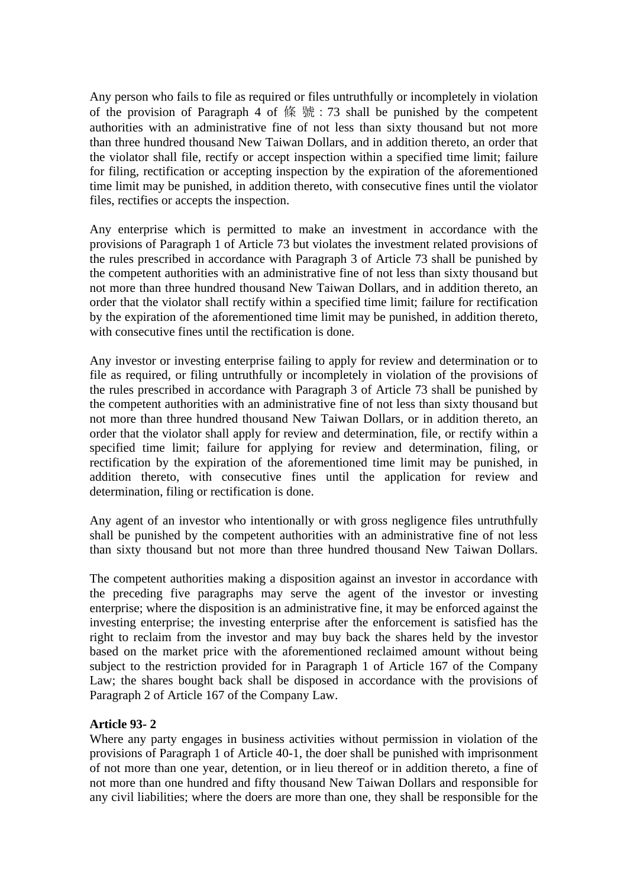Any person who fails to file as required or files untruthfully or incompletely in violation of the provision of Paragraph 4 of 條 號: 73 shall be punished by the competent authorities with an administrative fine of not less than sixty thousand but not more than three hundred thousand New Taiwan Dollars, and in addition thereto, an order that the violator shall file, rectify or accept inspection within a specified time limit; failure for filing, rectification or accepting inspection by the expiration of the aforementioned time limit may be punished, in addition thereto, with consecutive fines until the violator files, rectifies or accepts the inspection.

Any enterprise which is permitted to make an investment in accordance with the provisions of Paragraph 1 of Article 73 but violates the investment related provisions of the rules prescribed in accordance with Paragraph 3 of Article 73 shall be punished by the competent authorities with an administrative fine of not less than sixty thousand but not more than three hundred thousand New Taiwan Dollars, and in addition thereto, an order that the violator shall rectify within a specified time limit; failure for rectification by the expiration of the aforementioned time limit may be punished, in addition thereto, with consecutive fines until the rectification is done.

Any investor or investing enterprise failing to apply for review and determination or to file as required, or filing untruthfully or incompletely in violation of the provisions of the rules prescribed in accordance with Paragraph 3 of Article 73 shall be punished by the competent authorities with an administrative fine of not less than sixty thousand but not more than three hundred thousand New Taiwan Dollars, or in addition thereto, an order that the violator shall apply for review and determination, file, or rectify within a specified time limit; failure for applying for review and determination, filing, or rectification by the expiration of the aforementioned time limit may be punished, in addition thereto, with consecutive fines until the application for review and determination, filing or rectification is done.

Any agent of an investor who intentionally or with gross negligence files untruthfully shall be punished by the competent authorities with an administrative fine of not less than sixty thousand but not more than three hundred thousand New Taiwan Dollars.

The competent authorities making a disposition against an investor in accordance with the preceding five paragraphs may serve the agent of the investor or investing enterprise; where the disposition is an administrative fine, it may be enforced against the investing enterprise; the investing enterprise after the enforcement is satisfied has the right to reclaim from the investor and may buy back the shares held by the investor based on the market price with the aforementioned reclaimed amount without being subject to the restriction provided for in Paragraph 1 of Article 167 of the Company Law; the shares bought back shall be disposed in accordance with the provisions of Paragraph 2 of Article 167 of the Company Law.

#### **Article 93- 2**

Where any party engages in business activities without permission in violation of the provisions of Paragraph 1 of Article 40-1, the doer shall be punished with imprisonment of not more than one year, detention, or in lieu thereof or in addition thereto, a fine of not more than one hundred and fifty thousand New Taiwan Dollars and responsible for any civil liabilities; where the doers are more than one, they shall be responsible for the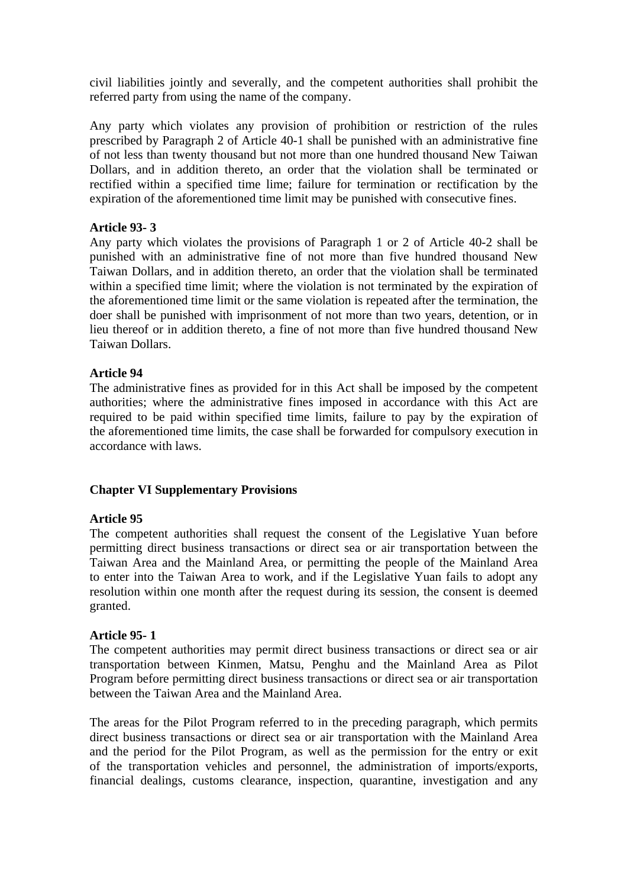civil liabilities jointly and severally, and the competent authorities shall prohibit the referred party from using the name of the company.

Any party which violates any provision of prohibition or restriction of the rules prescribed by Paragraph 2 of Article 40-1 shall be punished with an administrative fine of not less than twenty thousand but not more than one hundred thousand New Taiwan Dollars, and in addition thereto, an order that the violation shall be terminated or rectified within a specified time lime; failure for termination or rectification by the expiration of the aforementioned time limit may be punished with consecutive fines.

### **Article 93- 3**

Any party which violates the provisions of Paragraph 1 or 2 of Article 40-2 shall be punished with an administrative fine of not more than five hundred thousand New Taiwan Dollars, and in addition thereto, an order that the violation shall be terminated within a specified time limit; where the violation is not terminated by the expiration of the aforementioned time limit or the same violation is repeated after the termination, the doer shall be punished with imprisonment of not more than two years, detention, or in lieu thereof or in addition thereto, a fine of not more than five hundred thousand New Taiwan Dollars.

### **Article 94**

The administrative fines as provided for in this Act shall be imposed by the competent authorities; where the administrative fines imposed in accordance with this Act are required to be paid within specified time limits, failure to pay by the expiration of the aforementioned time limits, the case shall be forwarded for compulsory execution in accordance with laws.

## **Chapter VI Supplementary Provisions**

## **Article 95**

The competent authorities shall request the consent of the Legislative Yuan before permitting direct business transactions or direct sea or air transportation between the Taiwan Area and the Mainland Area, or permitting the people of the Mainland Area to enter into the Taiwan Area to work, and if the Legislative Yuan fails to adopt any resolution within one month after the request during its session, the consent is deemed granted.

#### **Article 95- 1**

The competent authorities may permit direct business transactions or direct sea or air transportation between Kinmen, Matsu, Penghu and the Mainland Area as Pilot Program before permitting direct business transactions or direct sea or air transportation between the Taiwan Area and the Mainland Area.

The areas for the Pilot Program referred to in the preceding paragraph, which permits direct business transactions or direct sea or air transportation with the Mainland Area and the period for the Pilot Program, as well as the permission for the entry or exit of the transportation vehicles and personnel, the administration of imports/exports, financial dealings, customs clearance, inspection, quarantine, investigation and any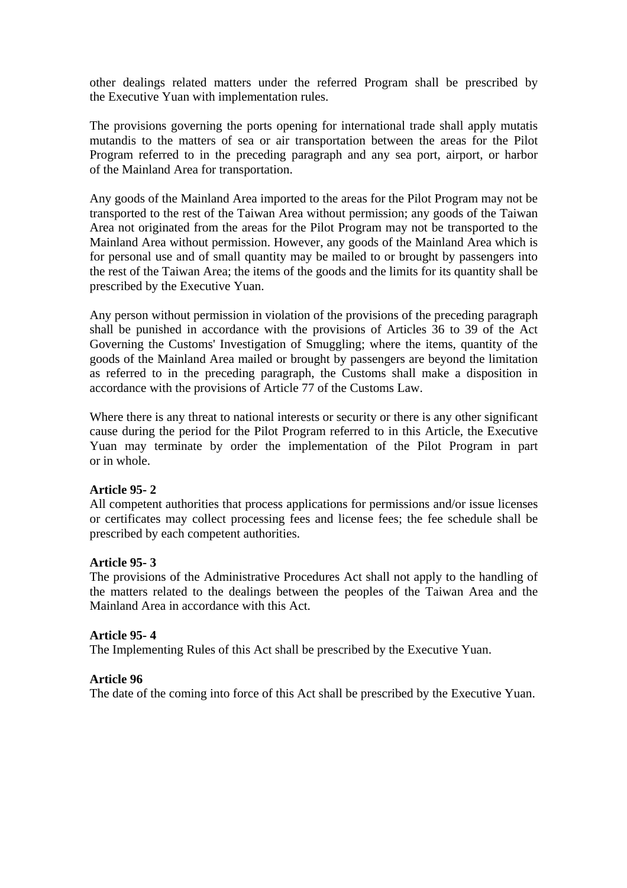other dealings related matters under the referred Program shall be prescribed by the Executive Yuan with implementation rules.

The provisions governing the ports opening for international trade shall apply mutatis mutandis to the matters of sea or air transportation between the areas for the Pilot Program referred to in the preceding paragraph and any sea port, airport, or harbor of the Mainland Area for transportation.

Any goods of the Mainland Area imported to the areas for the Pilot Program may not be transported to the rest of the Taiwan Area without permission; any goods of the Taiwan Area not originated from the areas for the Pilot Program may not be transported to the Mainland Area without permission. However, any goods of the Mainland Area which is for personal use and of small quantity may be mailed to or brought by passengers into the rest of the Taiwan Area; the items of the goods and the limits for its quantity shall be prescribed by the Executive Yuan.

Any person without permission in violation of the provisions of the preceding paragraph shall be punished in accordance with the provisions of Articles 36 to 39 of the Act Governing the Customs' Investigation of Smuggling; where the items, quantity of the goods of the Mainland Area mailed or brought by passengers are beyond the limitation as referred to in the preceding paragraph, the Customs shall make a disposition in accordance with the provisions of Article 77 of the Customs Law.

Where there is any threat to national interests or security or there is any other significant cause during the period for the Pilot Program referred to in this Article, the Executive Yuan may terminate by order the implementation of the Pilot Program in part or in whole.

#### **Article 95- 2**

All competent authorities that process applications for permissions and/or issue licenses or certificates may collect processing fees and license fees; the fee schedule shall be prescribed by each competent authorities.

#### **Article 95- 3**

The provisions of the Administrative Procedures Act shall not apply to the handling of the matters related to the dealings between the peoples of the Taiwan Area and the Mainland Area in accordance with this Act.

#### **Article 95- 4**

The Implementing Rules of this Act shall be prescribed by the Executive Yuan.

#### **Article 96**

The date of the coming into force of this Act shall be prescribed by the Executive Yuan.